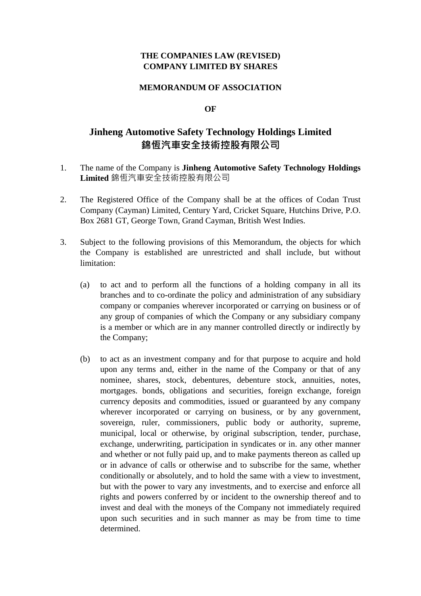### **THE COMPANIES LAW (REVISED) COMPANY LIMITED BY SHARES**

#### **MEMORANDUM OF ASSOCIATION**

#### **OF**

# **Jinheng Automotive Safety Technology Holdings Limited** 錦恆汽車安全技術控股有限公司

- 1. The name of the Company is **Jinheng Automotive Safety Technology Holdings Limited** 錦恆汽車安全技術控股有限公司
- 2. The Registered Office of the Company shall be at the offices of Codan Trust Company (Cayman) Limited, Century Yard, Cricket Square, Hutchins Drive, P.O. Box 2681 GT, George Town, Grand Cayman, British West Indies.
- 3. Subject to the following provisions of this Memorandum, the objects for which the Company is established are unrestricted and shall include, but without limitation:
	- (a) to act and to perform all the functions of a holding company in all its branches and to co-ordinate the policy and administration of any subsidiary company or companies wherever incorporated or carrying on business or of any group of companies of which the Company or any subsidiary company is a member or which are in any manner controlled directly or indirectly by the Company;
	- (b) to act as an investment company and for that purpose to acquire and hold upon any terms and, either in the name of the Company or that of any nominee, shares, stock, debentures, debenture stock, annuities, notes, mortgages. bonds, obligations and securities, foreign exchange, foreign currency deposits and commodities, issued or guaranteed by any company wherever incorporated or carrying on business, or by any government, sovereign, ruler, commissioners, public body or authority, supreme, municipal, local or otherwise, by original subscription, tender, purchase, exchange, underwriting, participation in syndicates or in. any other manner and whether or not fully paid up, and to make payments thereon as called up or in advance of calls or otherwise and to subscribe for the same, whether conditionally or absolutely, and to hold the same with a view to investment, but with the power to vary any investments, and to exercise and enforce all rights and powers conferred by or incident to the ownership thereof and to invest and deal with the moneys of the Company not immediately required upon such securities and in such manner as may be from time to time determined.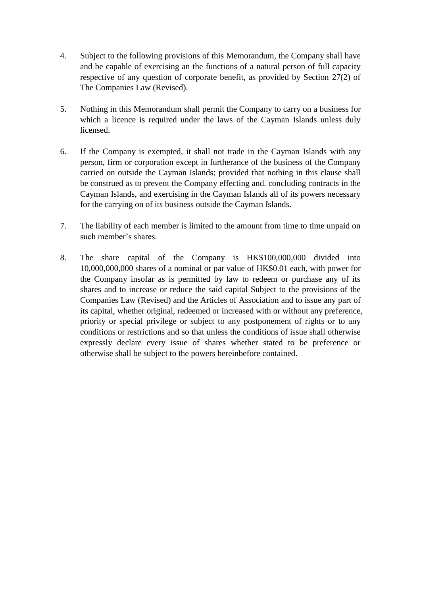- 4. Subject to the following provisions of this Memorandum, the Company shall have and be capable of exercising an the functions of a natural person of full capacity respective of any question of corporate benefit, as provided by Section 27(2) of The Companies Law (Revised).
- 5. Nothing in this Memorandum shall permit the Company to carry on a business for which a licence is required under the laws of the Cayman Islands unless duly licensed.
- 6. If the Company is exempted, it shall not trade in the Cayman Islands with any person, firm or corporation except in furtherance of the business of the Company carried on outside the Cayman Islands; provided that nothing in this clause shall be construed as to prevent the Company effecting and. concluding contracts in the Cayman Islands, and exercising in the Cayman Islands all of its powers necessary for the carrying on of its business outside the Cayman Islands.
- 7. The liability of each member is limited to the amount from time to time unpaid on such member's shares.
- 8. The share capital of the Company is HK\$100,000,000 divided into 10,000,000,000 shares of a nominal or par value of HK\$0.01 each, with power for the Company insofar as is permitted by law to redeem or purchase any of its shares and to increase or reduce the said capital Subject to the provisions of the Companies Law (Revised) and the Articles of Association and to issue any part of its capital, whether original, redeemed or increased with or without any preference, priority or special privilege or subject to any postponement of rights or to any conditions or restrictions and so that unless the conditions of issue shall otherwise expressly declare every issue of shares whether stated to be preference or otherwise shall be subject to the powers hereinbefore contained.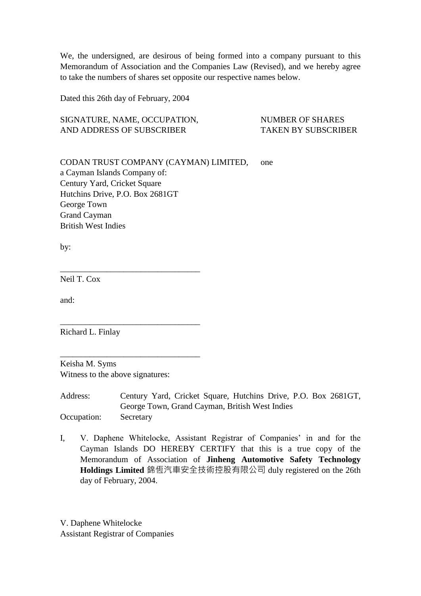We, the undersigned, are desirous of being formed into a company pursuant to this Memorandum of Association and the Companies Law (Revised), and we hereby agree to take the numbers of shares set opposite our respective names below.

Dated this 26th day of February, 2004

SIGNATURE, NAME, OCCUPATION, NUMBER OF SHARES AND ADDRESS OF SUBSCRIBER TAKEN BY SUBSCRIBER

CODAN TRUST COMPANY (CAYMAN) LIMITED, one a Cayman Islands Company of: Century Yard, Cricket Square Hutchins Drive, P.O. Box 2681GT George Town Grand Cayman British West Indies

by:

Neil T. Cox

and:

Richard L. Finlay

Keisha M. Syms Witness to the above signatures:

\_\_\_\_\_\_\_\_\_\_\_\_\_\_\_\_\_\_\_\_\_\_\_\_\_\_\_\_\_\_\_\_\_

\_\_\_\_\_\_\_\_\_\_\_\_\_\_\_\_\_\_\_\_\_\_\_\_\_\_\_\_\_\_\_\_\_

\_\_\_\_\_\_\_\_\_\_\_\_\_\_\_\_\_\_\_\_\_\_\_\_\_\_\_\_\_\_\_\_\_

Address: Century Yard, Cricket Square, Hutchins Drive, P.O. Box 2681GT, George Town, Grand Cayman, British West Indies Occupation: Secretary

I, V. Daphene Whitelocke, Assistant Registrar of Companies' in and for the Cayman Islands DO HEREBY CERTIFY that this is a true copy of the Memorandum of Association of **Jinheng Automotive Safety Technology Holdings Limited** 錦恆汽車安全技術控股有限公司 duly registered on the 26th day of February, 2004.

V. Daphene Whitelocke Assistant Registrar of Companies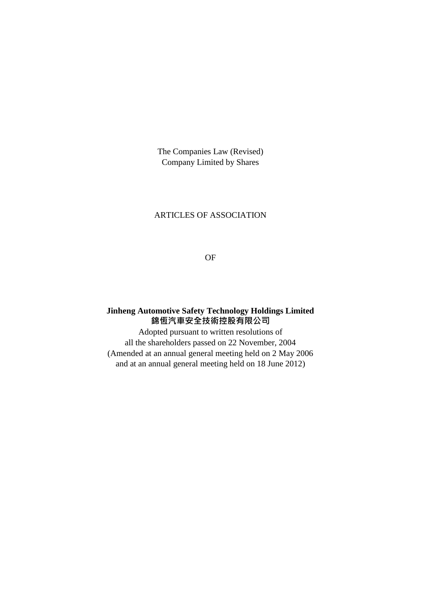The Companies Law (Revised) Company Limited by Shares

### ARTICLES OF ASSOCIATION

OF

# **Jinheng Automotive Safety Technology Holdings Limited** 錦恆汽車安全技術控股有限公司

Adopted pursuant to written resolutions of all the shareholders passed on 22 November, 2004 (Amended at an annual general meeting held on 2 May 2006 and at an annual general meeting held on 18 June 2012)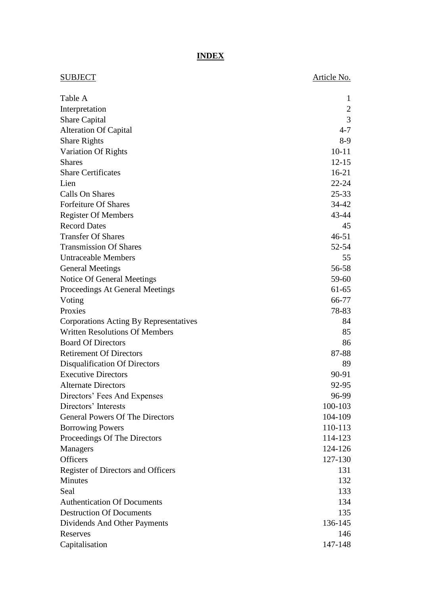# **INDEX**

| SUBJECT                                           | Article No.    |
|---------------------------------------------------|----------------|
| Table A                                           | 1              |
| Interpretation                                    | $\overline{2}$ |
| <b>Share Capital</b>                              | 3              |
| <b>Alteration Of Capital</b>                      | $4 - 7$        |
| <b>Share Rights</b>                               | $8-9$          |
| Variation Of Rights                               | $10 - 11$      |
| <b>Shares</b>                                     | $12 - 15$      |
| <b>Share Certificates</b>                         | $16-21$        |
| Lien                                              | $22 - 24$      |
| Calls On Shares                                   | $25 - 33$      |
| <b>Forfeiture Of Shares</b>                       | 34-42          |
|                                                   | 43-44          |
| <b>Register Of Members</b><br><b>Record Dates</b> |                |
| <b>Transfer Of Shares</b>                         | 45             |
|                                                   | $46 - 51$      |
| <b>Transmission Of Shares</b>                     | $52 - 54$      |
| <b>Untraceable Members</b>                        | 55             |
| <b>General Meetings</b>                           | 56-58          |
| Notice Of General Meetings                        | 59-60          |
| Proceedings At General Meetings                   | $61-65$        |
| Voting                                            | 66-77          |
| Proxies                                           | 78-83          |
| Corporations Acting By Representatives            | 84             |
| <b>Written Resolutions Of Members</b>             | 85             |
| <b>Board Of Directors</b>                         | 86             |
| <b>Retirement Of Directors</b>                    | 87-88          |
| <b>Disqualification Of Directors</b>              | 89             |
| <b>Executive Directors</b>                        | 90-91          |
| <b>Alternate Directors</b>                        | 92-95          |
| Directors' Fees And Expenses                      | 96-99          |
| Directors' Interests                              | 100-103        |
| <b>General Powers Of The Directors</b>            | 104-109        |
| <b>Borrowing Powers</b>                           | 110-113        |
| Proceedings Of The Directors                      | 114-123        |
| Managers                                          | 124-126        |
| <b>Officers</b>                                   | 127-130        |
| Register of Directors and Officers                | 131            |
| <b>Minutes</b>                                    | 132            |
| Seal                                              | 133            |
| <b>Authentication Of Documents</b>                | 134            |
| <b>Destruction Of Documents</b>                   | 135            |
| Dividends And Other Payments                      | 136-145        |
| Reserves                                          | 146            |
| Capitalisation                                    | 147-148        |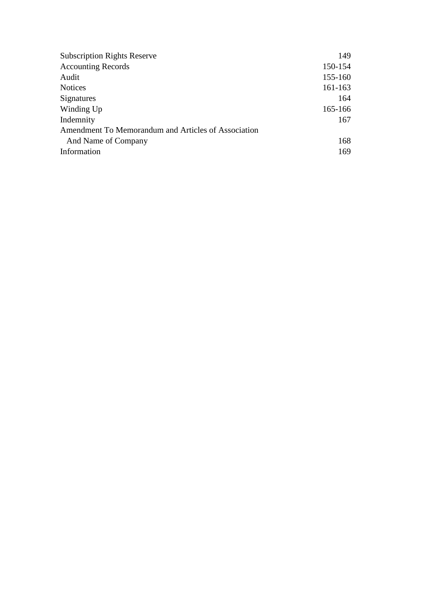| <b>Subscription Rights Reserve</b>                  | 149     |
|-----------------------------------------------------|---------|
| <b>Accounting Records</b>                           | 150-154 |
| Audit                                               | 155-160 |
| <b>Notices</b>                                      | 161-163 |
| Signatures                                          | 164     |
| Winding Up                                          | 165-166 |
| Indemnity                                           | 167     |
| Amendment To Memorandum and Articles of Association |         |
| And Name of Company                                 | 168     |
| Information                                         | 169     |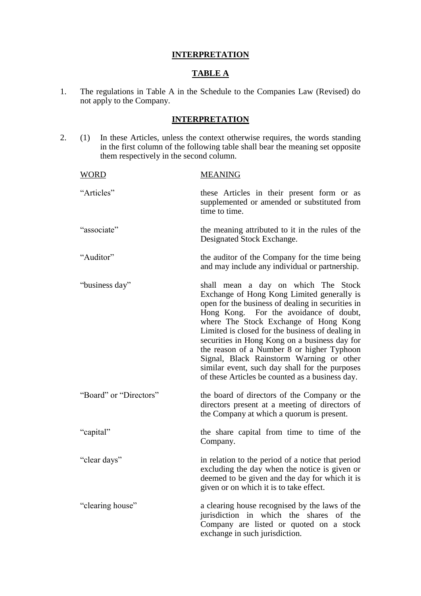### **INTERPRETATION**

### **TABLE A**

1. The regulations in Table A in the Schedule to the Companies Law (Revised) do not apply to the Company.

#### **INTERPRETATION**

2. (1) In these Articles, unless the context otherwise requires, the words standing in the first column of the following table shall bear the meaning set opposite them respectively in the second column.

| <b>WORD</b>            | <b>MEANING</b>                                                                                                                                                                                                                                                                                                                                                                                                                                                                                                                |
|------------------------|-------------------------------------------------------------------------------------------------------------------------------------------------------------------------------------------------------------------------------------------------------------------------------------------------------------------------------------------------------------------------------------------------------------------------------------------------------------------------------------------------------------------------------|
| "Articles"             | these Articles in their present form or as<br>supplemented or amended or substituted from<br>time to time.                                                                                                                                                                                                                                                                                                                                                                                                                    |
| "associate"            | the meaning attributed to it in the rules of the<br>Designated Stock Exchange.                                                                                                                                                                                                                                                                                                                                                                                                                                                |
| "Auditor"              | the auditor of the Company for the time being<br>and may include any individual or partnership.                                                                                                                                                                                                                                                                                                                                                                                                                               |
| "business day"         | shall mean a day on which The Stock<br>Exchange of Hong Kong Limited generally is<br>open for the business of dealing in securities in<br>Hong Kong. For the avoidance of doubt,<br>where The Stock Exchange of Hong Kong<br>Limited is closed for the business of dealing in<br>securities in Hong Kong on a business day for<br>the reason of a Number 8 or higher Typhoon<br>Signal, Black Rainstorm Warning or other<br>similar event, such day shall for the purposes<br>of these Articles be counted as a business day. |
| "Board" or "Directors" | the board of directors of the Company or the<br>directors present at a meeting of directors of<br>the Company at which a quorum is present.                                                                                                                                                                                                                                                                                                                                                                                   |
| "capital"              | the share capital from time to time of the<br>Company.                                                                                                                                                                                                                                                                                                                                                                                                                                                                        |
| "clear days"           | in relation to the period of a notice that period<br>excluding the day when the notice is given or<br>deemed to be given and the day for which it is<br>given or on which it is to take effect.                                                                                                                                                                                                                                                                                                                               |
| "clearing house"       | a clearing house recognised by the laws of the<br>jurisdiction in which the shares<br>of the<br>Company are listed or quoted on a stock<br>exchange in such jurisdiction.                                                                                                                                                                                                                                                                                                                                                     |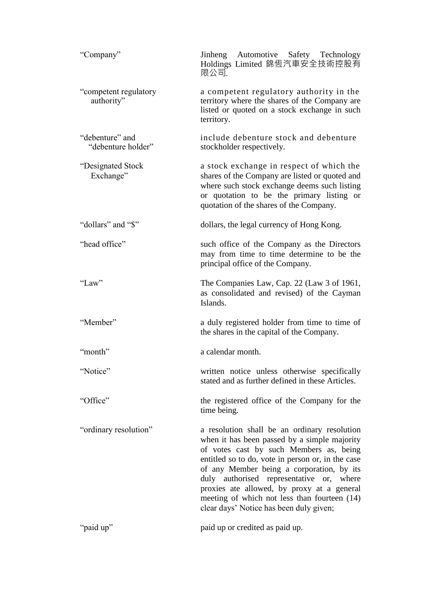| "Company"                             | Jinheng Automotive Safety Technology<br>Holdings Limited 錦恆汽車安全技術控股有<br>限公司.                                                                                                                                                                                                                                                                                                                                                   |
|---------------------------------------|--------------------------------------------------------------------------------------------------------------------------------------------------------------------------------------------------------------------------------------------------------------------------------------------------------------------------------------------------------------------------------------------------------------------------------|
| "competent regulatory<br>authority"   | a competent regulatory authority in the<br>territory where the shares of the Company are<br>listed or quoted on a stock exchange in such<br>territory.                                                                                                                                                                                                                                                                         |
| "debenture" and<br>"debenture holder" | include debenture stock and debenture<br>stockholder respectively.                                                                                                                                                                                                                                                                                                                                                             |
| "Designated Stock<br>Exchange"        | a stock exchange in respect of which the<br>shares of the Company are listed or quoted and<br>where such stock exchange deems such listing<br>or quotation to be the primary listing or<br>quotation of the shares of the Company.                                                                                                                                                                                             |
| "dollars" and "\$"                    | dollars, the legal currency of Hong Kong.                                                                                                                                                                                                                                                                                                                                                                                      |
| "head office"                         | such office of the Company as the Directors<br>may from time to time determine to be the<br>principal office of the Company.                                                                                                                                                                                                                                                                                                   |
| "Law"                                 | The Companies Law, Cap. 22 (Law 3 of 1961,<br>as consolidated and revised) of the Cayman<br>Islands.                                                                                                                                                                                                                                                                                                                           |
| "Member"                              | a duly registered holder from time to time of<br>the shares in the capital of the Company.                                                                                                                                                                                                                                                                                                                                     |
| "month"                               | a calendar month.                                                                                                                                                                                                                                                                                                                                                                                                              |
| "Notice"                              | written notice unless otherwise specifically<br>stated and as further defined in these Articles.                                                                                                                                                                                                                                                                                                                               |
| "Office"                              | the registered office of the Company for the<br>time being.                                                                                                                                                                                                                                                                                                                                                                    |
| "ordinary resolution"                 | a resolution shall be an ordinary resolution<br>when it has been passed by a simple majority<br>of votes cast by such Members as, being<br>entitled so to do, vote in person or, in the case<br>of any Member being a corporation, by its<br>duly authorised representative or, where<br>proxies ate allowed, by proxy at a general<br>meeting of which not less than fourteen (14)<br>clear days' Notice has been duly given; |
| "paid up"                             | paid up or credited as paid up.                                                                                                                                                                                                                                                                                                                                                                                                |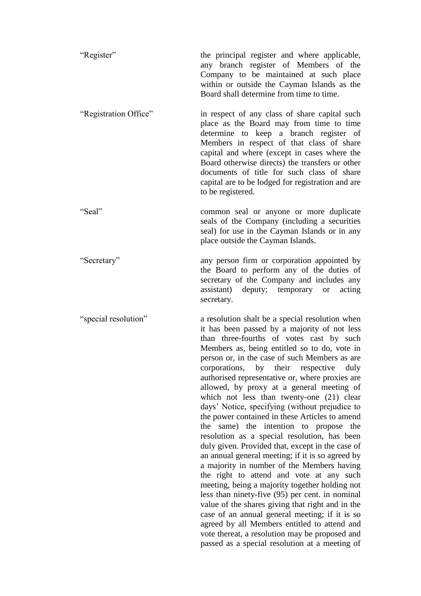| "Register"            | the principal register and where applicable,<br>any branch register of Members of the<br>Company to be maintained at such place<br>within or outside the Cayman Islands as the<br>Board shall determine from time to time.                                                                                                                                                                                                                                                                                                                                                                                                                                                                                                                                                                                                                                                                                                                                                                                                                                                                                                                                                                            |
|-----------------------|-------------------------------------------------------------------------------------------------------------------------------------------------------------------------------------------------------------------------------------------------------------------------------------------------------------------------------------------------------------------------------------------------------------------------------------------------------------------------------------------------------------------------------------------------------------------------------------------------------------------------------------------------------------------------------------------------------------------------------------------------------------------------------------------------------------------------------------------------------------------------------------------------------------------------------------------------------------------------------------------------------------------------------------------------------------------------------------------------------------------------------------------------------------------------------------------------------|
| "Registration Office" | in respect of any class of share capital such<br>place as the Board may from time to time<br>determine to keep a branch register of<br>Members in respect of that class of share<br>capital and where (except in cases where the<br>Board otherwise directs) the transfers or other<br>documents of title for such class of share<br>capital are to be lodged for registration and are<br>to be registered.                                                                                                                                                                                                                                                                                                                                                                                                                                                                                                                                                                                                                                                                                                                                                                                           |
| "Seal"                | common seal or anyone or more duplicate<br>seals of the Company (including a securities<br>seal) for use in the Cayman Islands or in any<br>place outside the Cayman Islands.                                                                                                                                                                                                                                                                                                                                                                                                                                                                                                                                                                                                                                                                                                                                                                                                                                                                                                                                                                                                                         |
| "Secretary"           | any person firm or corporation appointed by<br>the Board to perform any of the duties of<br>secretary of the Company and includes any<br>assistant) deputy; temporary or<br>acting<br>secretary.                                                                                                                                                                                                                                                                                                                                                                                                                                                                                                                                                                                                                                                                                                                                                                                                                                                                                                                                                                                                      |
| "special resolution"  | a resolution shalt be a special resolution when<br>it has been passed by a majority of not less<br>than three-fourths of votes cast by such<br>Members as, being entitled so to do, vote in<br>person or, in the case of such Members as are<br>corporations, by their respective duly<br>authorised representative or, where proxies are<br>allowed, by proxy at a general meeting of<br>which not less than twenty-one (21) clear<br>days' Notice, specifying (without prejudice to<br>the power contained in these Articles to amend<br>same) the intention to propose the<br>the<br>resolution as a special resolution, has been<br>duly given. Provided that, except in the case of<br>an annual general meeting; if it is so agreed by<br>a majority in number of the Members having<br>the right to attend and vote at any such<br>meeting, being a majority together holding not<br>less than ninety-five (95) per cent. in nominal<br>value of the shares giving that right and in the<br>case of an annual general meeting; if it is so<br>agreed by all Members entitled to attend and<br>vote thereat, a resolution may be proposed and<br>passed as a special resolution at a meeting of |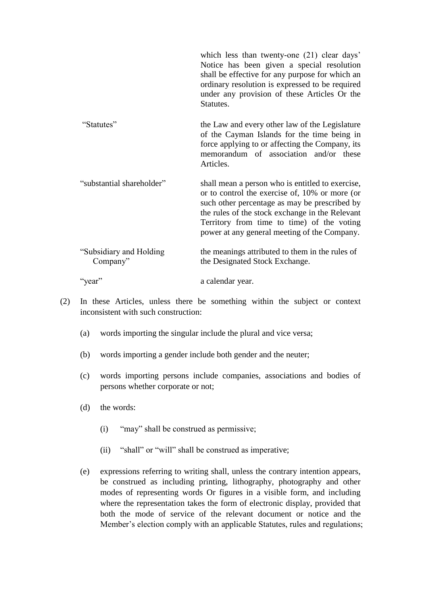|                                      | which less than twenty-one (21) clear days'<br>Notice has been given a special resolution<br>shall be effective for any purpose for which an<br>ordinary resolution is expressed to be required<br>under any provision of these Articles Or the<br>Statutes.                                         |
|--------------------------------------|------------------------------------------------------------------------------------------------------------------------------------------------------------------------------------------------------------------------------------------------------------------------------------------------------|
| "Statutes"                           | the Law and every other law of the Legislature<br>of the Cayman Islands for the time being in<br>force applying to or affecting the Company, its<br>memorandum of association and/or these<br>Articles.                                                                                              |
| "substantial shareholder"            | shall mean a person who is entitled to exercise,<br>or to control the exercise of, 10% or more (or<br>such other percentage as may be prescribed by<br>the rules of the stock exchange in the Relevant<br>Territory from time to time) of the voting<br>power at any general meeting of the Company. |
| "Subsidiary and Holding"<br>Company" | the meanings attributed to them in the rules of<br>the Designated Stock Exchange.                                                                                                                                                                                                                    |
| "year"                               | a calendar year.                                                                                                                                                                                                                                                                                     |

- (2) In these Articles, unless there be something within the subject or context inconsistent with such construction:
	- (a) words importing the singular include the plural and vice versa;
	- (b) words importing a gender include both gender and the neuter;
	- (c) words importing persons include companies, associations and bodies of persons whether corporate or not;
	- (d) the words:
		- (i) "may" shall be construed as permissive;
		- (ii) "shall" or "will" shall be construed as imperative;
	- (e) expressions referring to writing shall, unless the contrary intention appears, be construed as including printing, lithography, photography and other modes of representing words Or figures in a visible form, and including where the representation takes the form of electronic display, provided that both the mode of service of the relevant document or notice and the Member's election comply with an applicable Statutes, rules and regulations;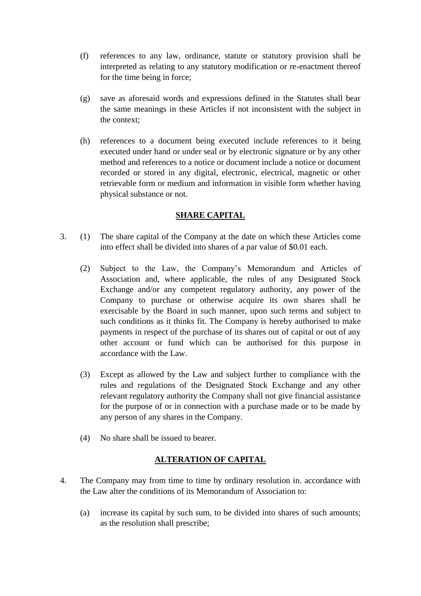- (f) references to any law, ordinance, statute or statutory provision shall be interpreted as relating to any statutory modification or re-enactment thereof for the time being in force;
- (g) save as aforesaid words and expressions defined in the Statutes shall bear the same meanings in these Articles if not inconsistent with the subject in the context;
- (h) references to a document being executed include references to it being executed under hand or under seal or by electronic signature or by any other method and references to a notice or document include a notice or document recorded or stored in any digital, electronic, electrical, magnetic or other retrievable form or medium and information in visible form whether having physical substance or not.

### **SHARE CAPITAL**

- 3. (1) The share capital of the Company at the date on which these Articles come into effect shall be divided into shares of a par value of \$0.01 each.
	- (2) Subject to the Law, the Company's Memorandum and Articles of Association and, where applicable, the rules of any Designated Stock Exchange and/or any competent regulatory authority, any power of the Company to purchase or otherwise acquire its own shares shall be exercisable by the Board in such manner, upon such terms and subject to such conditions as it thinks fit. The Company is hereby authorised to make payments in respect of the purchase of its shares out of capital or out of any other account or fund which can be authorised for this purpose in accordance with the Law.
	- (3) Except as allowed by the Law and subject further to compliance with the rules and regulations of the Designated Stock Exchange and any other relevant regulatory authority the Company shall not give financial assistance for the purpose of or in connection with a purchase made or to be made by any person of any shares in the Company.
	- (4) No share shall be issued to bearer.

# **ALTERATION OF CAPITAL**

- 4. The Company may from time to time by ordinary resolution in. accordance with the Law alter the conditions of its Memorandum of Association to:
	- (a) increase its capital by such sum, to be divided into shares of such amounts; as the resolution shall prescribe;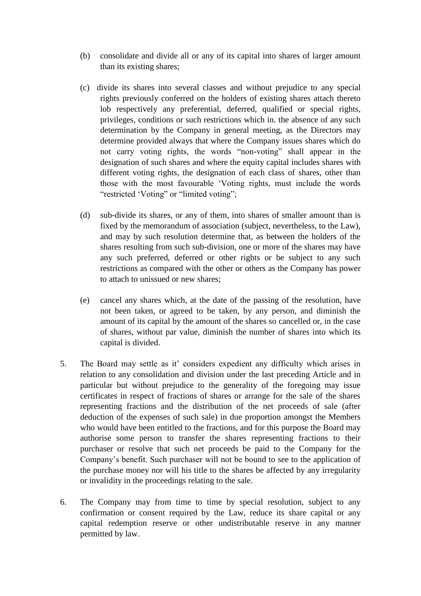- (b) consolidate and divide all or any of its capital into shares of larger amount than its existing shares;
- (c) divide its shares into several classes and without prejudice to any special rights previously conferred on the holders of existing shares attach thereto lob respectively any preferential, deferred, qualified or special rights, privileges, conditions or such restrictions which in. the absence of any such determination by the Company in general meeting, as the Directors may determine provided always that where the Company issues shares which do not carry voting rights, the words "non-voting" shall appear in the designation of such shares and where the equity capital includes shares with different voting rights, the designation of each class of shares, other than those with the most favourable 'Voting rights, must include the words "restricted 'Voting" or "limited voting";
- (d) sub-divide its shares, or any of them, into shares of smaller amount than is fixed by the memorandum of association (subject, nevertheless, to the Law), and may by such resolution determine that, as between the holders of the shares resulting from such sub-division, one or more of the shares may have any such preferred, deferred or other rights or be subject to any such restrictions as compared with the other or others as the Company has power to attach to unissued or new shares;
- (e) cancel any shares which, at the date of the passing of the resolution, have not been taken, or agreed to be taken, by any person, and diminish the amount of its capital by the amount of the shares so cancelled or, in the case of shares, without par value, diminish the number of shares into which its capital is divided.
- 5. The Board may settle as it' considers expedient any difficulty which arises in relation to any consolidation and division under the last preceding Article and in particular but without prejudice to the generality of the foregoing may issue certificates in respect of fractions of shares or arrange for the sale of the shares representing fractions and the distribution of the net proceeds of sale (after deduction of the expenses of such sale) in due proportion amongst the Members who would have been entitled to the fractions, and for this purpose the Board may authorise some person to transfer the shares representing fractions to their purchaser or resolve that such net proceeds be paid to the Company for the Company's benefit. Such purchaser will not be bound to see to the application of the purchase money nor will his title to the shares be affected by any irregularity or invalidity in the proceedings relating to the sale.
- 6. The Company may from time to time by special resolution, subject to any confirmation or consent required by the Law, reduce its share capital or any capital redemption reserve or other undistributable reserve in any manner permitted by law.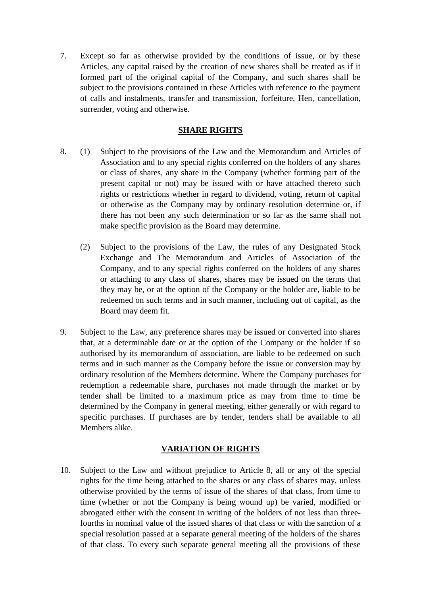7. Except so far as otherwise provided by the conditions of issue, or by these Articles, any capital raised by the creation of new shares shall be treated as if it formed part of the original capital of the Company, and such shares shall be subject to the provisions contained in these Articles with reference to the payment of calls and instalments, transfer and transmission, forfeiture, Hen, cancellation, surrender, voting and otherwise.

### **SHARE RIGHTS**

- 8. (1) Subject to the provisions of the Law and the Memorandum and Articles of Association and to any special rights conferred on the holders of any shares or class of shares, any share in the Company (whether forming part of the present capital or not) may be issued with or have attached thereto such rights or restrictions whether in regard to dividend, voting, return of capital or otherwise as the Company may by ordinary resolution determine or, if there has not been any such determination or so far as the same shall not make specific provision as the Board may determine.
	- (2) Subject to the provisions of the Law, the rules of any Designated Stock Exchange and The Memorandum and Articles of Association of the Company, and to any special rights conferred on the holders of any shares or attaching to any class of shares, shares may be issued on the terms that they may be, or at the option of the Company or the holder are, liable to be redeemed on such terms and in such manner, including out of capital, as the Board may deem fit.
- 9. Subject to the Law, any preference shares may be issued or converted into shares that, at a determinable date or at the option of the Company or the holder if so authorised by its memorandum of association, are liable to be redeemed on such terms and in such manner as the Company before the issue or conversion may by ordinary resolution of the Members determine. Where the Company purchases for redemption a redeemable share, purchases not made through the market or by tender shall be limited to a maximum price as may from time to time be determined by the Company in general meeting, either generally or with regard to specific purchases. If purchases are by tender, tenders shall be available to all Members alike.

# **VARIATION OF RIGHTS**

10. Subject to the Law and without prejudice to Article 8, all or any of the special rights for the time being attached to the shares or any class of shares may, unless otherwise provided by the terms of issue of the shares of that class, from time to time (whether or not the Company is being wound up) be varied, modified or abrogated either with the consent in writing of the holders of not less than threefourths in nominal value of the issued shares of that class or with the sanction of a special resolution passed at a separate general meeting of the holders of the shares of that class. To every such separate general meeting all the provisions of these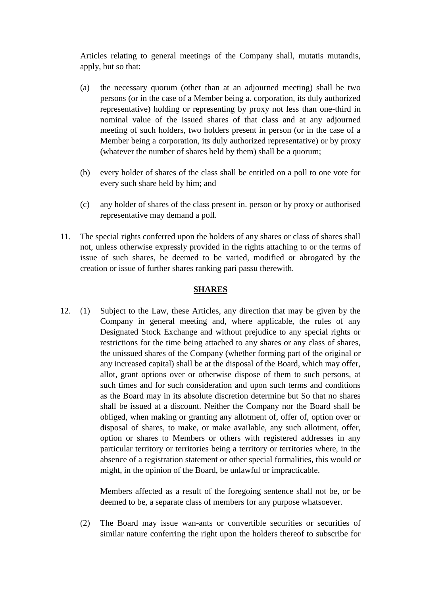Articles relating to general meetings of the Company shall, mutatis mutandis, apply, but so that:

- (a) the necessary quorum (other than at an adjourned meeting) shall be two persons (or in the case of a Member being a. corporation, its duly authorized representative) holding or representing by proxy not less than one-third in nominal value of the issued shares of that class and at any adjourned meeting of such holders, two holders present in person (or in the case of a Member being a corporation, its duly authorized representative) or by proxy (whatever the number of shares held by them) shall be a quorum;
- (b) every holder of shares of the class shall be entitled on a poll to one vote for every such share held by him; and
- (c) any holder of shares of the class present in. person or by proxy or authorised representative may demand a poll.
- 11. The special rights conferred upon the holders of any shares or class of shares shall not, unless otherwise expressly provided in the rights attaching to or the terms of issue of such shares, be deemed to be varied, modified or abrogated by the creation or issue of further shares ranking pari passu therewith.

### **SHARES**

12. (1) Subject to the Law, these Articles, any direction that may be given by the Company in general meeting and, where applicable, the rules of any Designated Stock Exchange and without prejudice to any special rights or restrictions for the time being attached to any shares or any class of shares, the unissued shares of the Company (whether forming part of the original or any increased capital) shall be at the disposal of the Board, which may offer, allot, grant options over or otherwise dispose of them to such persons, at such times and for such consideration and upon such terms and conditions as the Board may in its absolute discretion determine but So that no shares shall be issued at a discount. Neither the Company nor the Board shall be obliged, when making or granting any allotment of, offer of, option over or disposal of shares, to make, or make available, any such allotment, offer, option or shares to Members or others with registered addresses in any particular territory or territories being a territory or territories where, in the absence of a registration statement or other special formalities, this would or might, in the opinion of the Board, be unlawful or impracticable.

> Members affected as a result of the foregoing sentence shall not be, or be deemed to be, a separate class of members for any purpose whatsoever.

(2) The Board may issue wan-ants or convertible securities or securities of similar nature conferring the right upon the holders thereof to subscribe for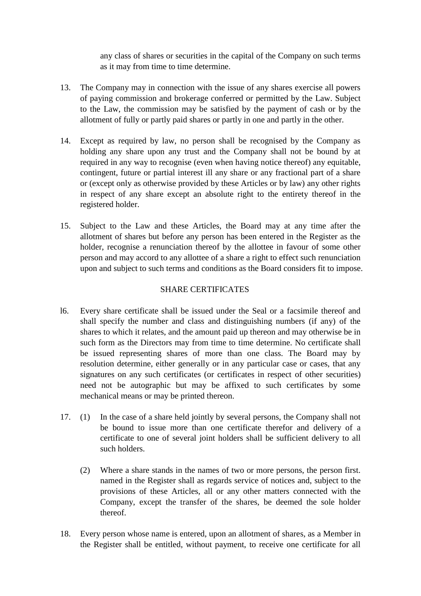any class of shares or securities in the capital of the Company on such terms as it may from time to time determine.

- 13. The Company may in connection with the issue of any shares exercise all powers of paying commission and brokerage conferred or permitted by the Law. Subject to the Law, the commission may be satisfied by the payment of cash or by the allotment of fully or partly paid shares or partly in one and partly in the other.
- 14. Except as required by law, no person shall be recognised by the Company as holding any share upon any trust and the Company shall not be bound by at required in any way to recognise (even when having notice thereof) any equitable, contingent, future or partial interest ill any share or any fractional part of a share or (except only as otherwise provided by these Articles or by law) any other rights in respect of any share except an absolute right to the entirety thereof in the registered holder.
- 15. Subject to the Law and these Articles, the Board may at any time after the allotment of shares but before any person has been entered in the Register as the holder, recognise a renunciation thereof by the allottee in favour of some other person and may accord to any allottee of a share a right to effect such renunciation upon and subject to such terms and conditions as the Board considers fit to impose.

### SHARE CERTIFICATES

- l6. Every share certificate shall be issued under the Seal or a facsimile thereof and shall specify the number and class and distinguishing numbers (if any) of the shares to which it relates, and the amount paid up thereon and may otherwise be in such form as the Directors may from time to time determine. No certificate shall be issued representing shares of more than one class. The Board may by resolution determine, either generally or in any particular case or cases, that any signatures on any such certificates (or certificates in respect of other securities) need not be autographic but may be affixed to such certificates by some mechanical means or may be printed thereon.
- 17. (1) In the case of a share held jointly by several persons, the Company shall not be bound to issue more than one certificate therefor and delivery of a certificate to one of several joint holders shall be sufficient delivery to all such holders.
	- (2) Where a share stands in the names of two or more persons, the person first. named in the Register shall as regards service of notices and, subject to the provisions of these Articles, all or any other matters connected with the Company, except the transfer of the shares, be deemed the sole holder thereof.
- 18. Every person whose name is entered, upon an allotment of shares, as a Member in the Register shall be entitled, without payment, to receive one certificate for all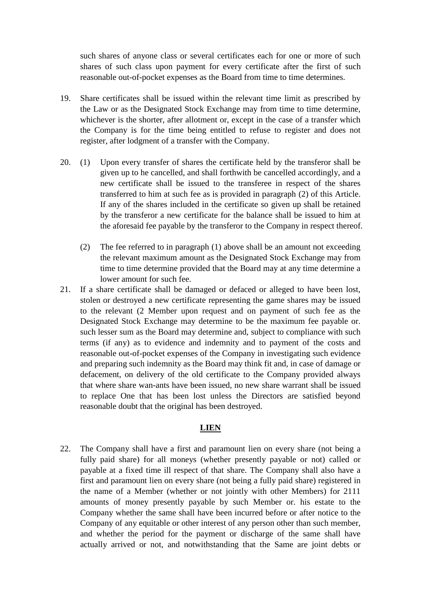such shares of anyone class or several certificates each for one or more of such shares of such class upon payment for every certificate after the first of such reasonable out-of-pocket expenses as the Board from time to time determines.

- 19. Share certificates shall be issued within the relevant time limit as prescribed by the Law or as the Designated Stock Exchange may from time to time determine, whichever is the shorter, after allotment or, except in the case of a transfer which the Company is for the time being entitled to refuse to register and does not register, after lodgment of a transfer with the Company.
- 20. (1) Upon every transfer of shares the certificate held by the transferor shall be given up to he cancelled, and shall forthwith be cancelled accordingly, and a new certificate shall be issued to the transferee in respect of the shares transferred to him at such fee as is provided in paragraph (2) of this Article. If any of the shares included in the certificate so given up shall be retained by the transferor a new certificate for the balance shall be issued to him at the aforesaid fee payable by the transferor to the Company in respect thereof.
	- (2) The fee referred to in paragraph (1) above shall be an amount not exceeding the relevant maximum amount as the Designated Stock Exchange may from time to time determine provided that the Board may at any time determine a lower amount for such fee.
- 21. If a share certificate shall be damaged or defaced or alleged to have been lost, stolen or destroyed a new certificate representing the game shares may be issued to the relevant (2 Member upon request and on payment of such fee as the Designated Stock Exchange may determine to be the maximum fee payable or. such lesser sum as the Board may determine and, subject to compliance with such terms (if any) as to evidence and indemnity and to payment of the costs and reasonable out-of-pocket expenses of the Company in investigating such evidence and preparing such indemnity as the Board may think fit and, in case of damage or defacement, on delivery of the old certificate to the Company provided always that where share wan-ants have been issued, no new share warrant shall be issued to replace One that has been lost unless the Directors are satisfied beyond reasonable doubt that the original has been destroyed.

#### **LIEN**

22. The Company shall have a first and paramount lien on every share (not being a fully paid share) for all moneys (whether presently payable or not) called or payable at a fixed time ill respect of that share. The Company shall also have a first and paramount lien on every share (not being a fully paid share) registered in the name of a Member (whether or not jointly with other Members) for 2111 amounts of money presently payable by such Member or. his estate to the Company whether the same shall have been incurred before or after notice to the Company of any equitable or other interest of any person other than such member, and whether the period for the payment or discharge of the same shall have actually arrived or not, and notwithstanding that the Same are joint debts or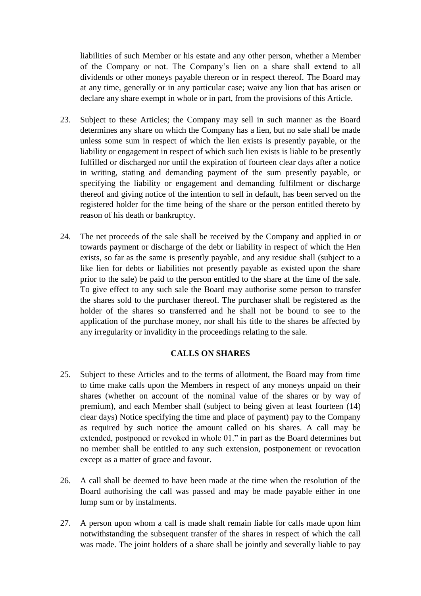liabilities of such Member or his estate and any other person, whether a Member of the Company or not. The Company's lien on a share shall extend to all dividends or other moneys payable thereon or in respect thereof. The Board may at any time, generally or in any particular case; waive any lion that has arisen or declare any share exempt in whole or in part, from the provisions of this Article.

- 23. Subject to these Articles; the Company may sell in such manner as the Board determines any share on which the Company has a lien, but no sale shall be made unless some sum in respect of which the lien exists is presently payable, or the liability or engagement in respect of which such lien exists is liable to be presently fulfilled or discharged nor until the expiration of fourteen clear days after a notice in writing, stating and demanding payment of the sum presently payable, or specifying the liability or engagement and demanding fulfilment or discharge thereof and giving notice of the intention to sell in default, has been served on the registered holder for the time being of the share or the person entitled thereto by reason of his death or bankruptcy.
- 24. The net proceeds of the sale shall be received by the Company and applied in or towards payment or discharge of the debt or liability in respect of which the Hen exists, so far as the same is presently payable, and any residue shall (subject to a like lien for debts or liabilities not presently payable as existed upon the share prior to the sale) be paid to the person entitled to the share at the time of the sale. To give effect to any such sale the Board may authorise some person to transfer the shares sold to the purchaser thereof. The purchaser shall be registered as the holder of the shares so transferred and he shall not be bound to see to the application of the purchase money, nor shall his title to the shares be affected by any irregularity or invalidity in the proceedings relating to the sale.

#### **CALLS ON SHARES**

- 25. Subject to these Articles and to the terms of allotment, the Board may from time to time make calls upon the Members in respect of any moneys unpaid on their shares (whether on account of the nominal value of the shares or by way of premium), and each Member shall (subject to being given at least fourteen (14) clear days) Notice specifying the time and place of payment) pay to the Company as required by such notice the amount called on his shares. A call may be extended, postponed or revoked in whole 01." in part as the Board determines but no member shall be entitled to any such extension, postponement or revocation except as a matter of grace and favour.
- 26. A call shall be deemed to have been made at the time when the resolution of the Board authorising the call was passed and may be made payable either in one lump sum or by instalments.
- 27. A person upon whom a call is made shalt remain liable for calls made upon him notwithstanding the subsequent transfer of the shares in respect of which the call was made. The joint holders of a share shall be jointly and severally liable to pay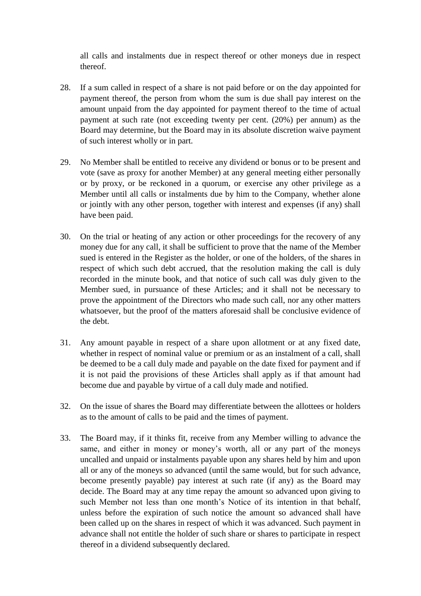all calls and instalments due in respect thereof or other moneys due in respect thereof.

- 28. If a sum called in respect of a share is not paid before or on the day appointed for payment thereof, the person from whom the sum is due shall pay interest on the amount unpaid from the day appointed for payment thereof to the time of actual payment at such rate (not exceeding twenty per cent. (20%) per annum) as the Board may determine, but the Board may in its absolute discretion waive payment of such interest wholly or in part.
- 29. No Member shall be entitled to receive any dividend or bonus or to be present and vote (save as proxy for another Member) at any general meeting either personally or by proxy, or be reckoned in a quorum, or exercise any other privilege as a Member until all calls or instalments due by him to the Company, whether alone or jointly with any other person, together with interest and expenses (if any) shall have been paid.
- 30. On the trial or heating of any action or other proceedings for the recovery of any money due for any call, it shall be sufficient to prove that the name of the Member sued is entered in the Register as the holder, or one of the holders, of the shares in respect of which such debt accrued, that the resolution making the call is duly recorded in the minute book, and that notice of such call was duly given to the Member sued, in pursuance of these Articles; and it shall not be necessary to prove the appointment of the Directors who made such call, nor any other matters whatsoever, but the proof of the matters aforesaid shall be conclusive evidence of the debt.
- 31. Any amount payable in respect of a share upon allotment or at any fixed date, whether in respect of nominal value or premium or as an instalment of a call, shall be deemed to be a call duly made and payable on the date fixed for payment and if it is not paid the provisions of these Articles shall apply as if that amount had become due and payable by virtue of a call duly made and notified.
- 32. On the issue of shares the Board may differentiate between the allottees or holders as to the amount of calls to be paid and the times of payment.
- 33. The Board may, if it thinks fit, receive from any Member willing to advance the same, and either in money or money's worth, all or any part of the moneys uncalled and unpaid or instalments payable upon any shares held by him and upon all or any of the moneys so advanced (until the same would, but for such advance, become presently payable) pay interest at such rate (if any) as the Board may decide. The Board may at any time repay the amount so advanced upon giving to such Member not less than one month's Notice of its intention in that behalf, unless before the expiration of such notice the amount so advanced shall have been called up on the shares in respect of which it was advanced. Such payment in advance shall not entitle the holder of such share or shares to participate in respect thereof in a dividend subsequently declared.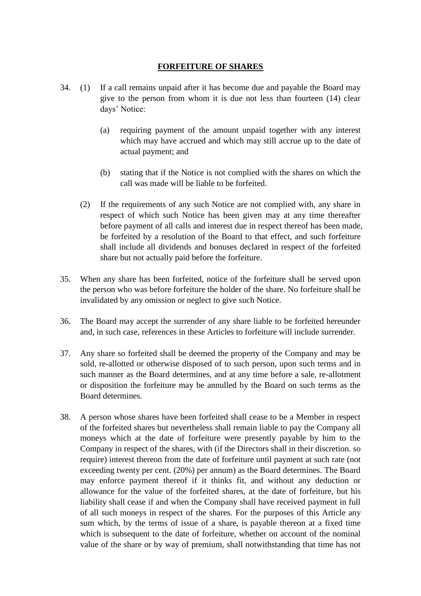### **FORFEITURE OF SHARES**

- 34. (1) If a call remains unpaid after it has become due and payable the Board may give to the person from whom it is due not less than fourteen (14) clear days' Notice:
	- (a) requiring payment of the amount unpaid together with any interest which may have accrued and which may still accrue up to the date of actual payment; and
	- (b) stating that if the Notice is not complied with the shares on which the call was made will be liable to be forfeited.
	- (2) If the requirements of any such Notice are not complied with, any share in respect of which such Notice has been given may at any time thereafter before payment of all calls and interest due in respect thereof has been made, be forfeited by a resolution of the Board to that effect, and such forfeiture shall include all dividends and bonuses declared in respect of the forfeited share but not actually paid before the forfeiture.
- 35. When any share has been forfeited, notice of the forfeiture shall be served upon the person who was before forfeiture the holder of the share. No forfeiture shall be invalidated by any omission or neglect to give such Notice.
- 36. The Board may accept the surrender of any share liable to be forfeited hereunder and, in such case, references in these Articles to forfeiture will include surrender.
- 37. Any share so forfeited shall be deemed the property of the Company and may be sold, re-allotted or otherwise disposed of to such person, upon such terms and in such manner as the Board determines, and at any time before a sale, re-allotment or disposition the forfeiture may be annulled by the Board on such terms as the Board determines.
- 38. A person whose shares have been forfeited shall cease to be a Member in respect of the forfeited shares but nevertheless shall remain liable to pay the Company all moneys which at the date of forfeiture were presently payable by him to the Company in respect of the shares, with (if the Directors shall in their discretion. so require) interest thereon from the date of forfeiture until payment at such rate (not exceeding twenty per cent. (20%) per annum) as the Board determines. The Board may enforce payment thereof if it thinks fit, and without any deduction or allowance for the value of the forfeited shares, at the date of forfeiture, but his liability shall cease if and when the Company shall have received payment in full of all such moneys in respect of the shares. For the purposes of this Article any sum which, by the terms of issue of a share, is payable thereon at a fixed time which is subsequent to the date of forfeiture, whether on account of the nominal value of the share or by way of premium, shall notwithstanding that time has not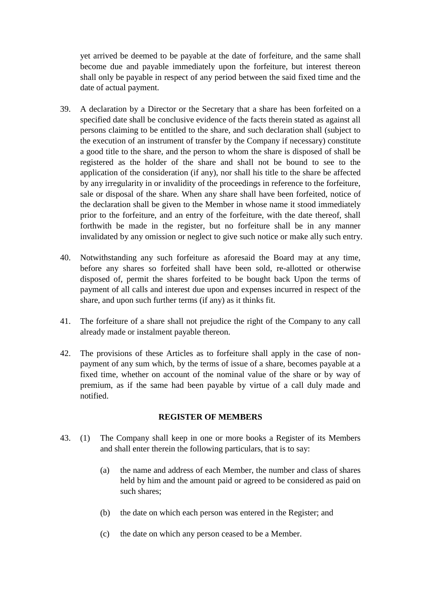yet arrived be deemed to be payable at the date of forfeiture, and the same shall become due and payable immediately upon the forfeiture, but interest thereon shall only be payable in respect of any period between the said fixed time and the date of actual payment.

- 39. A declaration by a Director or the Secretary that a share has been forfeited on a specified date shall be conclusive evidence of the facts therein stated as against all persons claiming to be entitled to the share, and such declaration shall (subject to the execution of an instrument of transfer by the Company if necessary) constitute a good title to the share, and the person to whom the share is disposed of shall be registered as the holder of the share and shall not be bound to see to the application of the consideration (if any), nor shall his title to the share be affected by any irregularity in or invalidity of the proceedings in reference to the forfeiture, sale or disposal of the share. When any share shall have been forfeited, notice of the declaration shall be given to the Member in whose name it stood immediately prior to the forfeiture, and an entry of the forfeiture, with the date thereof, shall forthwith be made in the register, but no forfeiture shall be in any manner invalidated by any omission or neglect to give such notice or make ally such entry.
- 40. Notwithstanding any such forfeiture as aforesaid the Board may at any time, before any shares so forfeited shall have been sold, re-allotted or otherwise disposed of, permit the shares forfeited to be bought back Upon the terms of payment of all calls and interest due upon and expenses incurred in respect of the share, and upon such further terms (if any) as it thinks fit.
- 41. The forfeiture of a share shall not prejudice the right of the Company to any call already made or instalment payable thereon.
- 42. The provisions of these Articles as to forfeiture shall apply in the case of nonpayment of any sum which, by the terms of issue of a share, becomes payable at a fixed time, whether on account of the nominal value of the share or by way of premium, as if the same had been payable by virtue of a call duly made and notified.

#### **REGISTER OF MEMBERS**

- 43. (1) The Company shall keep in one or more books a Register of its Members and shall enter therein the following particulars, that is to say:
	- (a) the name and address of each Member, the number and class of shares held by him and the amount paid or agreed to be considered as paid on such shares;
	- (b) the date on which each person was entered in the Register; and
	- (c) the date on which any person ceased to be a Member.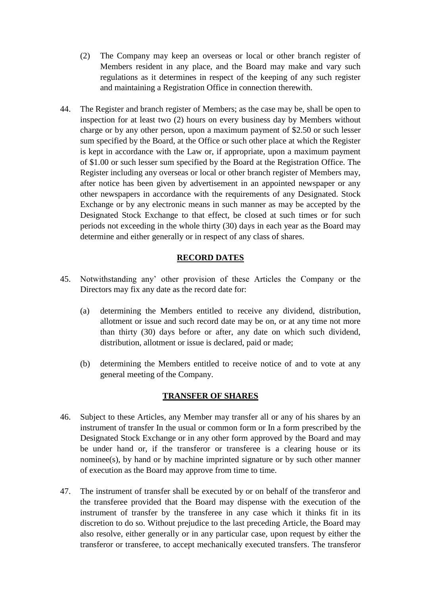- (2) The Company may keep an overseas or local or other branch register of Members resident in any place, and the Board may make and vary such regulations as it determines in respect of the keeping of any such register and maintaining a Registration Office in connection therewith.
- 44. The Register and branch register of Members; as the case may be, shall be open to inspection for at least two (2) hours on every business day by Members without charge or by any other person, upon a maximum payment of \$2.50 or such lesser sum specified by the Board, at the Office or such other place at which the Register is kept in accordance with the Law or, if appropriate, upon a maximum payment of \$1.00 or such lesser sum specified by the Board at the Registration Office. The Register including any overseas or local or other branch register of Members may, after notice has been given by advertisement in an appointed newspaper or any other newspapers in accordance with the requirements of any Designated. Stock Exchange or by any electronic means in such manner as may be accepted by the Designated Stock Exchange to that effect, be closed at such times or for such periods not exceeding in the whole thirty (30) days in each year as the Board may determine and either generally or in respect of any class of shares.

### **RECORD DATES**

- 45. Notwithstanding any' other provision of these Articles the Company or the Directors may fix any date as the record date for:
	- (a) determining the Members entitled to receive any dividend, distribution, allotment or issue and such record date may be on, or at any time not more than thirty (30) days before or after, any date on which such dividend, distribution, allotment or issue is declared, paid or made;
	- (b) determining the Members entitled to receive notice of and to vote at any general meeting of the Company.

### **TRANSFER OF SHARES**

- 46. Subject to these Articles, any Member may transfer all or any of his shares by an instrument of transfer In the usual or common form or In a form prescribed by the Designated Stock Exchange or in any other form approved by the Board and may be under hand or, if the transferor or transferee is a clearing house or its nominee(s), by hand or by machine imprinted signature or by such other manner of execution as the Board may approve from time to time.
- 47. The instrument of transfer shall be executed by or on behalf of the transferor and the transferee provided that the Board may dispense with the execution of the instrument of transfer by the transferee in any case which it thinks fit in its discretion to do so. Without prejudice to the last preceding Article, the Board may also resolve, either generally or in any particular case, upon request by either the transferor or transferee, to accept mechanically executed transfers. The transferor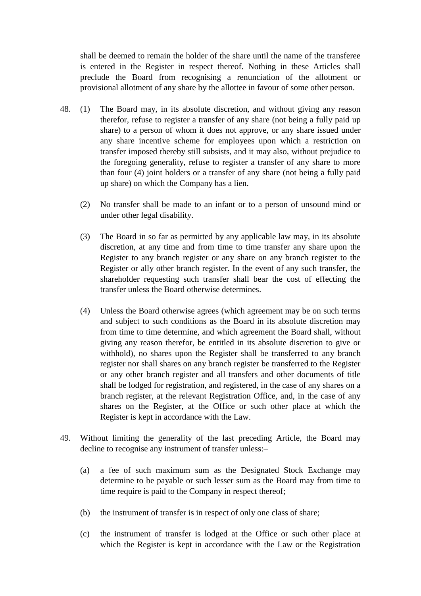shall be deemed to remain the holder of the share until the name of the transferee is entered in the Register in respect thereof. Nothing in these Articles shall preclude the Board from recognising a renunciation of the allotment or provisional allotment of any share by the allottee in favour of some other person.

- 48. (1) The Board may, in its absolute discretion, and without giving any reason therefor, refuse to register a transfer of any share (not being a fully paid up share) to a person of whom it does not approve, or any share issued under any share incentive scheme for employees upon which a restriction on transfer imposed thereby still subsists, and it may also, without prejudice to the foregoing generality, refuse to register a transfer of any share to more than four (4) joint holders or a transfer of any share (not being a fully paid up share) on which the Company has a lien.
	- (2) No transfer shall be made to an infant or to a person of unsound mind or under other legal disability.
	- (3) The Board in so far as permitted by any applicable law may, in its absolute discretion, at any time and from time to time transfer any share upon the Register to any branch register or any share on any branch register to the Register or ally other branch register. In the event of any such transfer, the shareholder requesting such transfer shall bear the cost of effecting the transfer unless the Board otherwise determines.
	- (4) Unless the Board otherwise agrees (which agreement may be on such terms and subject to such conditions as the Board in its absolute discretion may from time to time determine, and which agreement the Board shall, without giving any reason therefor, be entitled in its absolute discretion to give or withhold), no shares upon the Register shall be transferred to any branch register nor shall shares on any branch register be transferred to the Register or any other branch register and all transfers and other documents of title shall be lodged for registration, and registered, in the case of any shares on a branch register, at the relevant Registration Office, and, in the case of any shares on the Register, at the Office or such other place at which the Register is kept in accordance with the Law.
- 49. Without limiting the generality of the last preceding Article, the Board may decline to recognise any instrument of transfer unless:–
	- (a) a fee of such maximum sum as the Designated Stock Exchange may determine to be payable or such lesser sum as the Board may from time to time require is paid to the Company in respect thereof;
	- (b) the instrument of transfer is in respect of only one class of share;
	- (c) the instrument of transfer is lodged at the Office or such other place at which the Register is kept in accordance with the Law or the Registration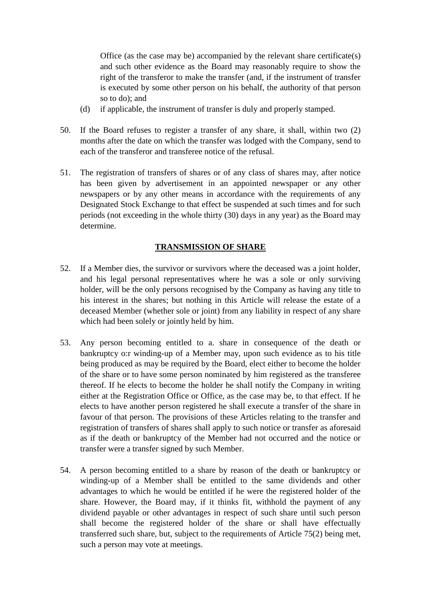Office (as the case may be) accompanied by the relevant share certificate(s) and such other evidence as the Board may reasonably require to show the right of the transferor to make the transfer (and, if the instrument of transfer is executed by some other person on his behalf, the authority of that person so to do); and

- (d) if applicable, the instrument of transfer is duly and properly stamped.
- 50. If the Board refuses to register a transfer of any share, it shall, within two (2) months after the date on which the transfer was lodged with the Company, send to each of the transferor and transferee notice of the refusal.
- 51. The registration of transfers of shares or of any class of shares may, after notice has been given by advertisement in an appointed newspaper or any other newspapers or by any other means in accordance with the requirements of any Designated Stock Exchange to that effect be suspended at such times and for such periods (not exceeding in the whole thirty (30) days in any year) as the Board may determine.

# **TRANSMISSION OF SHARE**

- 52. If a Member dies, the survivor or survivors where the deceased was a joint holder, and his legal personal representatives where he was a sole or only surviving holder, will be the only persons recognised by the Company as having any title to his interest in the shares; but nothing in this Article will release the estate of a deceased Member (whether sole or joint) from any liability in respect of any share which had been solely or jointly held by him.
- 53. Any person becoming entitled to a. share in consequence of the death or bankruptcy o:r winding-up of a Member may, upon such evidence as to his title being produced as may be required by the Board, elect either to become the holder of the share or to have some person nominated by him registered as the transferee thereof. If he elects to become the holder he shall notify the Company in writing either at the Registration Office or Office, as the case may be, to that effect. If he elects to have another person registered he shall execute a transfer of the share in favour of that person. The provisions of these Articles relating to the transfer and registration of transfers of shares shall apply to such notice or transfer as aforesaid as if the death or bankruptcy of the Member had not occurred and the notice or transfer were a transfer signed by such Member.
- 54. A person becoming entitled to a share by reason of the death or bankruptcy or winding-up of a Member shall be entitled to the same dividends and other advantages to which he would be entitled if he were the registered holder of the share. However, the Board may, if it thinks fit, withhold the payment of any dividend payable or other advantages in respect of such share until such person shall become the registered holder of the share or shall have effectually transferred such share, but, subject to the requirements of Article 75(2) being met, such a person may vote at meetings.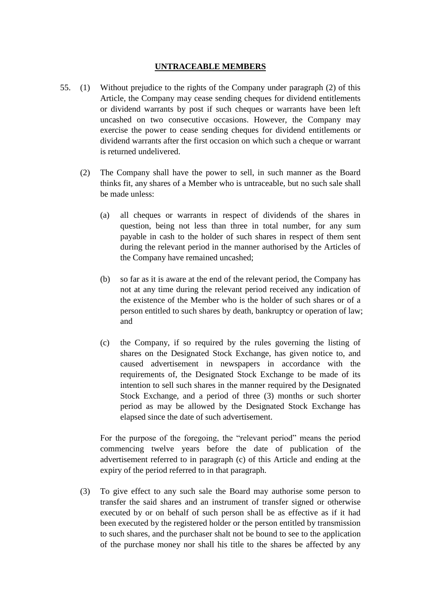#### **UNTRACEABLE MEMBERS**

- 55. (1) Without prejudice to the rights of the Company under paragraph (2) of this Article, the Company may cease sending cheques for dividend entitlements or dividend warrants by post if such cheques or warrants have been left uncashed on two consecutive occasions. However, the Company may exercise the power to cease sending cheques for dividend entitlements or dividend warrants after the first occasion on which such a cheque or warrant is returned undelivered.
	- (2) The Company shall have the power to sell, in such manner as the Board thinks fit, any shares of a Member who is untraceable, but no such sale shall be made unless:
		- (a) all cheques or warrants in respect of dividends of the shares in question, being not less than three in total number, for any sum payable in cash to the holder of such shares in respect of them sent during the relevant period in the manner authorised by the Articles of the Company have remained uncashed;
		- (b) so far as it is aware at the end of the relevant period, the Company has not at any time during the relevant period received any indication of the existence of the Member who is the holder of such shares or of a person entitled to such shares by death, bankruptcy or operation of law; and
		- (c) the Company, if so required by the rules governing the listing of shares on the Designated Stock Exchange, has given notice to, and caused advertisement in newspapers in accordance with the requirements of, the Designated Stock Exchange to be made of its intention to sell such shares in the manner required by the Designated Stock Exchange, and a period of three (3) months or such shorter period as may be allowed by the Designated Stock Exchange has elapsed since the date of such advertisement.

For the purpose of the foregoing, the "relevant period" means the period commencing twelve years before the date of publication of the advertisement referred to in paragraph (c) of this Article and ending at the expiry of the period referred to in that paragraph.

(3) To give effect to any such sale the Board may authorise some person to transfer the said shares and an instrument of transfer signed or otherwise executed by or on behalf of such person shall be as effective as if it had been executed by the registered holder or the person entitled by transmission to such shares, and the purchaser shalt not be bound to see to the application of the purchase money nor shall his title to the shares be affected by any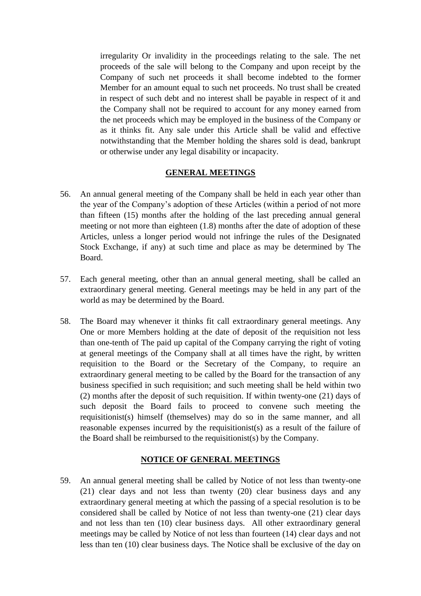irregularity Or invalidity in the proceedings relating to the sale. The net proceeds of the sale will belong to the Company and upon receipt by the Company of such net proceeds it shall become indebted to the former Member for an amount equal to such net proceeds. No trust shall be created in respect of such debt and no interest shall be payable in respect of it and the Company shall not be required to account for any money earned from the net proceeds which may be employed in the business of the Company or as it thinks fit. Any sale under this Article shall be valid and effective notwithstanding that the Member holding the shares sold is dead, bankrupt or otherwise under any legal disability or incapacity.

#### **GENERAL MEETINGS**

- 56. An annual general meeting of the Company shall be held in each year other than the year of the Company's adoption of these Articles (within a period of not more than fifteen (15) months after the holding of the last preceding annual general meeting or not more than eighteen (1.8) months after the date of adoption of these Articles, unless a longer period would not infringe the rules of the Designated Stock Exchange, if any) at such time and place as may be determined by The Board.
- 57. Each general meeting, other than an annual general meeting, shall be called an extraordinary general meeting. General meetings may be held in any part of the world as may be determined by the Board.
- 58. The Board may whenever it thinks fit call extraordinary general meetings. Any One or more Members holding at the date of deposit of the requisition not less than one-tenth of The paid up capital of the Company carrying the right of voting at general meetings of the Company shall at all times have the right, by written requisition to the Board or the Secretary of the Company, to require an extraordinary general meeting to be called by the Board for the transaction of any business specified in such requisition; and such meeting shall be held within two (2) months after the deposit of such requisition. If within twenty-one (21) days of such deposit the Board fails to proceed to convene such meeting the requisitionist(s) himself (themselves) may do so in the same manner, and all reasonable expenses incurred by the requisitionist(s) as a result of the failure of the Board shall be reimbursed to the requisitionist(s) by the Company.

#### **NOTICE OF GENERAL MEETINGS**

59. An annual general meeting shall be called by Notice of not less than twenty-one (21) clear days and not less than twenty (20) clear business days and any extraordinary general meeting at which the passing of a special resolution is to be considered shall be called by Notice of not less than twenty-one (21) clear days and not less than ten (10) clear business days. All other extraordinary general meetings may be called by Notice of not less than fourteen (14) clear days and not less than ten (10) clear business days. The Notice shall be exclusive of the day on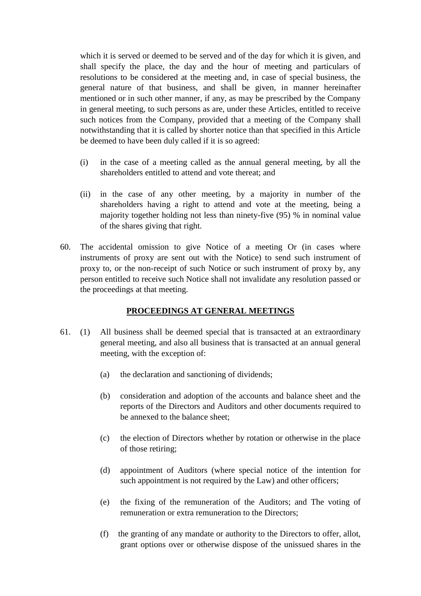which it is served or deemed to be served and of the day for which it is given, and shall specify the place, the day and the hour of meeting and particulars of resolutions to be considered at the meeting and, in case of special business, the general nature of that business, and shall be given, in manner hereinafter mentioned or in such other manner, if any, as may be prescribed by the Company in general meeting, to such persons as are, under these Articles, entitled to receive such notices from the Company, provided that a meeting of the Company shall notwithstanding that it is called by shorter notice than that specified in this Article be deemed to have been duly called if it is so agreed:

- (i) in the case of a meeting called as the annual general meeting, by all the shareholders entitled to attend and vote thereat; and
- (ii) in the case of any other meeting, by a majority in number of the shareholders having a right to attend and vote at the meeting, being a majority together holding not less than ninety-five (95) % in nominal value of the shares giving that right.
- 60. The accidental omission to give Notice of a meeting Or (in cases where instruments of proxy are sent out with the Notice) to send such instrument of proxy to, or the non-receipt of such Notice or such instrument of proxy by, any person entitled to receive such Notice shall not invalidate any resolution passed or the proceedings at that meeting.

### **PROCEEDINGS AT GENERAL MEETINGS**

- 61. (1) All business shall be deemed special that is transacted at an extraordinary general meeting, and also all business that is transacted at an annual general meeting, with the exception of:
	- (a) the declaration and sanctioning of dividends;
	- (b) consideration and adoption of the accounts and balance sheet and the reports of the Directors and Auditors and other documents required to be annexed to the balance sheet;
	- (c) the election of Directors whether by rotation or otherwise in the place of those retiring;
	- (d) appointment of Auditors (where special notice of the intention for such appointment is not required by the Law) and other officers;
	- (e) the fixing of the remuneration of the Auditors; and The voting of remuneration or extra remuneration to the Directors;
	- (f) the granting of any mandate or authority to the Directors to offer, allot, grant options over or otherwise dispose of the unissued shares in the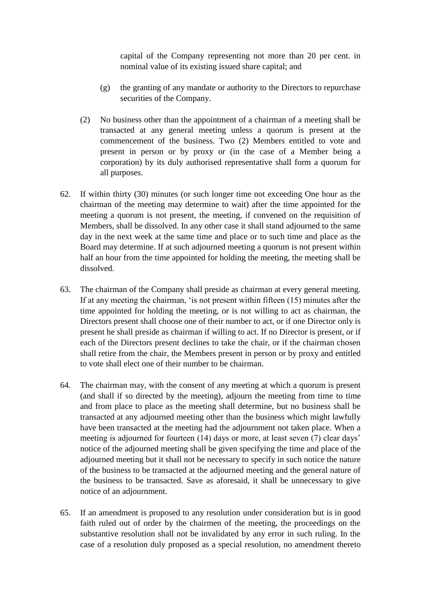capital of the Company representing not more than 20 per cent. in nominal value of its existing issued share capital; and

- (g) the granting of any mandate or authority to the Directors to repurchase securities of the Company.
- (2) No business other than the appointment of a chairman of a meeting shall be transacted at any general meeting unless a quorum is present at the commencement of the business. Two (2) Members entitled to vote and present in person or by proxy or (in the case of a Member being a corporation) by its duly authorised representative shall form a quorum for all purposes.
- 62. If within thirty (30) minutes (or such longer time not exceeding One hour as the chairman of the meeting may determine to wait) after the time appointed for the meeting a quorum is not present, the meeting, if convened on the requisition of Members, shall be dissolved. In any other case it shall stand adjourned to the same day in the next week at the same time and place or to such time and place as the Board may determine. If at such adjourned meeting a quorum is not present within half an hour from the time appointed for holding the meeting, the meeting shall be dissolved.
- 63. The chairman of the Company shall preside as chairman at every general meeting. If at any meeting the chairman, 'is not present within fifteen (15) minutes after the time appointed for holding the meeting, or is not willing to act as chairman, the Directors present shall choose one of their number to act, or if one Director only is present he shall preside as chairman if willing to act. If no Director is present, or if each of the Directors present declines to take the chair, or if the chairman chosen shall retire from the chair, the Members present in person or by proxy and entitled to vote shall elect one of their number to be chairman.
- 64. The chairman may, with the consent of any meeting at which a quorum is present (and shall if so directed by the meeting), adjourn the meeting from time to time and from place to place as the meeting shall determine, but no business shall be transacted at any adjourned meeting other than the business which might lawfully have been transacted at the meeting had the adjournment not taken place. When a meeting is adjourned for fourteen (14) days or more, at least seven (7) clear days' notice of the adjourned meeting shall be given specifying the time and place of the adjourned meeting but it shall not be necessary to specify in such notice the nature of the business to be transacted at the adjourned meeting and the general nature of the business to be transacted. Save as aforesaid, it shall be unnecessary to give notice of an adjournment.
- 65. If an amendment is proposed to any resolution under consideration but is in good faith ruled out of order by the chairmen of the meeting, the proceedings on the substantive resolution shall not be invalidated by any error in such ruling. In the case of a resolution duly proposed as a special resolution, no amendment thereto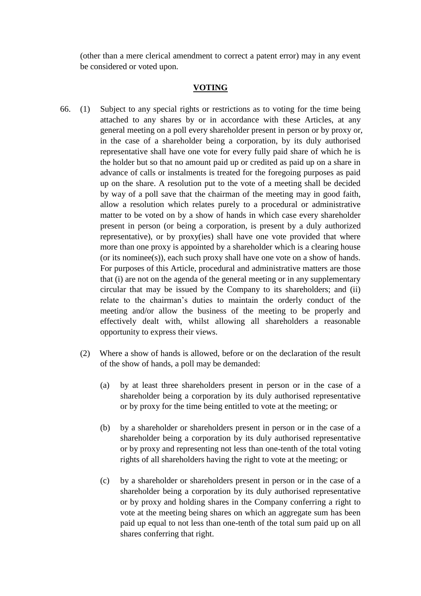(other than a mere clerical amendment to correct a patent error) may in any event be considered or voted upon.

#### **VOTING**

- 66. (1) Subject to any special rights or restrictions as to voting for the time being attached to any shares by or in accordance with these Articles, at any general meeting on a poll every shareholder present in person or by proxy or, in the case of a shareholder being a corporation, by its duly authorised representative shall have one vote for every fully paid share of which he is the holder but so that no amount paid up or credited as paid up on a share in advance of calls or instalments is treated for the foregoing purposes as paid up on the share. A resolution put to the vote of a meeting shall be decided by way of a poll save that the chairman of the meeting may in good faith, allow a resolution which relates purely to a procedural or administrative matter to be voted on by a show of hands in which case every shareholder present in person (or being a corporation, is present by a duly authorized representative), or by proxy(ies) shall have one vote provided that where more than one proxy is appointed by a shareholder which is a clearing house (or its nominee(s)), each such proxy shall have one vote on a show of hands. For purposes of this Article, procedural and administrative matters are those that (i) are not on the agenda of the general meeting or in any supplementary circular that may be issued by the Company to its shareholders; and (ii) relate to the chairman's duties to maintain the orderly conduct of the meeting and/or allow the business of the meeting to be properly and effectively dealt with, whilst allowing all shareholders a reasonable opportunity to express their views.
	- (2) Where a show of hands is allowed, before or on the declaration of the result of the show of hands, a poll may be demanded:
		- (a) by at least three shareholders present in person or in the case of a shareholder being a corporation by its duly authorised representative or by proxy for the time being entitled to vote at the meeting; or
		- (b) by a shareholder or shareholders present in person or in the case of a shareholder being a corporation by its duly authorised representative or by proxy and representing not less than one-tenth of the total voting rights of all shareholders having the right to vote at the meeting; or
		- (c) by a shareholder or shareholders present in person or in the case of a shareholder being a corporation by its duly authorised representative or by proxy and holding shares in the Company conferring a right to vote at the meeting being shares on which an aggregate sum has been paid up equal to not less than one-tenth of the total sum paid up on all shares conferring that right.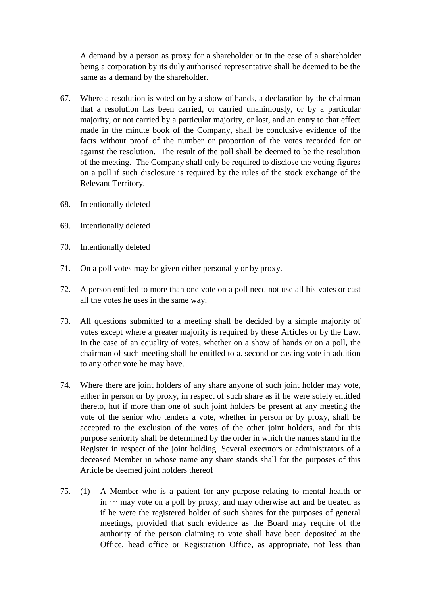A demand by a person as proxy for a shareholder or in the case of a shareholder being a corporation by its duly authorised representative shall be deemed to be the same as a demand by the shareholder.

- 67. Where a resolution is voted on by a show of hands, a declaration by the chairman that a resolution has been carried, or carried unanimously, or by a particular majority, or not carried by a particular majority, or lost, and an entry to that effect made in the minute book of the Company, shall be conclusive evidence of the facts without proof of the number or proportion of the votes recorded for or against the resolution. The result of the poll shall be deemed to be the resolution of the meeting. The Company shall only be required to disclose the voting figures on a poll if such disclosure is required by the rules of the stock exchange of the Relevant Territory.
- 68. Intentionally deleted
- 69. Intentionally deleted
- 70. Intentionally deleted
- 71. On a poll votes may be given either personally or by proxy.
- 72. A person entitled to more than one vote on a poll need not use all his votes or cast all the votes he uses in the same way.
- 73. All questions submitted to a meeting shall be decided by a simple majority of votes except where a greater majority is required by these Articles or by the Law. In the case of an equality of votes, whether on a show of hands or on a poll, the chairman of such meeting shall be entitled to a. second or casting vote in addition to any other vote he may have.
- 74. Where there are joint holders of any share anyone of such joint holder may vote, either in person or by proxy, in respect of such share as if he were solely entitled thereto, hut if more than one of such joint holders be present at any meeting the vote of the senior who tenders a vote, whether in person or by proxy, shall be accepted to the exclusion of the votes of the other joint holders, and for this purpose seniority shall be determined by the order in which the names stand in the Register in respect of the joint holding. Several executors or administrators of a deceased Member in whose name any share stands shall for the purposes of this Article be deemed joint holders thereof
- 75. (1) A Member who is a patient for any purpose relating to mental health or in  $\sim$  may vote on a poll by proxy, and may otherwise act and be treated as if he were the registered holder of such shares for the purposes of general meetings, provided that such evidence as the Board may require of the authority of the person claiming to vote shall have been deposited at the Office, head office or Registration Office, as appropriate, not less than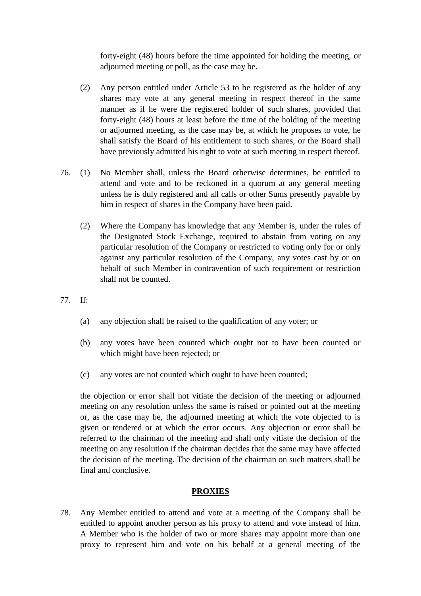forty-eight (48) hours before the time appointed for holding the meeting, or adjourned meeting or poll, as the case may be.

- (2) Any person entitled under Article 53 to be registered as the holder of any shares may vote at any general meeting in respect thereof in the same manner as if he were the registered holder of such shares, provided that forty-eight (48) hours at least before the time of the holding of the meeting or adjourned meeting, as the case may be, at which he proposes to vote, he shall satisfy the Board of his entitlement to such shares, or the Board shall have previously admitted his right to vote at such meeting in respect thereof.
- 76. (1) No Member shall, unless the Board otherwise determines, be entitled to attend and vote and to be reckoned in a quorum at any general meeting unless he is duly registered and all calls or other Sums presently payable by him in respect of shares in the Company have been paid.
	- (2) Where the Company has knowledge that any Member is, under the rules of the Designated Stock Exchange, required to abstain from voting on any particular resolution of the Company or restricted to voting only for or only against any particular resolution of the Company, any votes cast by or on behalf of such Member in contravention of such requirement or restriction shall not be counted.
- 77. If:
	- (a) any objection shall be raised to the qualification of any voter; or
	- (b) any votes have been counted which ought not to have been counted or which might have been rejected; or
	- (c) any votes are not counted which ought to have been counted;

the objection or error shall not vitiate the decision of the meeting or adjourned meeting on any resolution unless the same is raised or pointed out at the meeting or, as the case may be, the adjourned meeting at which the vote objected to is given or tendered or at which the error occurs. Any objection or error shall be referred to the chairman of the meeting and shall only vitiate the decision of the meeting on any resolution if the chairman decides that the same may have affected the decision of the meeting. The decision of the chairman on such matters shall be final and conclusive.

#### **PROXIES**

78. Any Member entitled to attend and vote at a meeting of the Company shall be entitled to appoint another person as his proxy to attend and vote instead of him. A Member who is the holder of two or more shares may appoint more than one proxy to represent him and vote on his behalf at a general meeting of the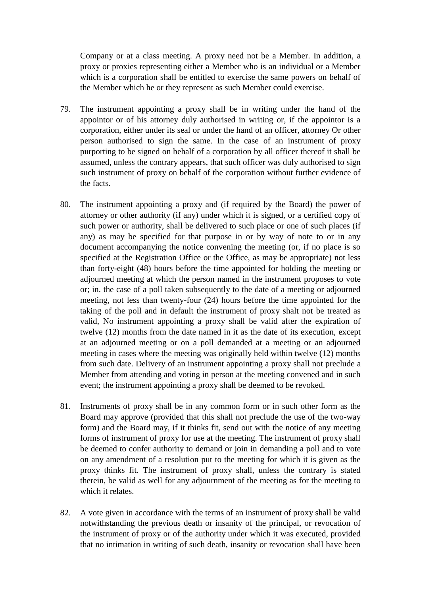Company or at a class meeting. A proxy need not be a Member. In addition, a proxy or proxies representing either a Member who is an individual or a Member which is a corporation shall be entitled to exercise the same powers on behalf of the Member which he or they represent as such Member could exercise.

- 79. The instrument appointing a proxy shall be in writing under the hand of the appointor or of his attorney duly authorised in writing or, if the appointor is a corporation, either under its seal or under the hand of an officer, attorney Or other person authorised to sign the same. In the case of an instrument of proxy purporting to be signed on behalf of a corporation by all officer thereof it shall be assumed, unless the contrary appears, that such officer was duly authorised to sign such instrument of proxy on behalf of the corporation without further evidence of the facts.
- 80. The instrument appointing a proxy and (if required by the Board) the power of attorney or other authority (if any) under which it is signed, or a certified copy of such power or authority, shall be delivered to such place or one of such places (if any) as may be specified for that purpose in or by way of note to or in any document accompanying the notice convening the meeting (or, if no place is so specified at the Registration Office or the Office, as may be appropriate) not less than forty-eight (48) hours before the time appointed for holding the meeting or adjourned meeting at which the person named in the instrument proposes to vote or; in. the case of a poll taken subsequently to the date of a meeting or adjourned meeting, not less than twenty-four (24) hours before the time appointed for the taking of the poll and in default the instrument of proxy shalt not be treated as valid, No instrument appointing a proxy shall be valid after the expiration of twelve (12) months from the date named in it as the date of its execution, except at an adjourned meeting or on a poll demanded at a meeting or an adjourned meeting in cases where the meeting was originally held within twelve (12) months from such date. Delivery of an instrument appointing a proxy shall not preclude a Member from attending and voting in person at the meeting convened and in such event; the instrument appointing a proxy shall be deemed to be revoked.
- 81. Instruments of proxy shall be in any common form or in such other form as the Board may approve (provided that this shall not preclude the use of the two-way form) and the Board may, if it thinks fit, send out with the notice of any meeting forms of instrument of proxy for use at the meeting. The instrument of proxy shall be deemed to confer authority to demand or join in demanding a poll and to vote on any amendment of a resolution put to the meeting for which it is given as the proxy thinks fit. The instrument of proxy shall, unless the contrary is stated therein, be valid as well for any adjournment of the meeting as for the meeting to which it relates.
- 82. A vote given in accordance with the terms of an instrument of proxy shall be valid notwithstanding the previous death or insanity of the principal, or revocation of the instrument of proxy or of the authority under which it was executed, provided that no intimation in writing of such death, insanity or revocation shall have been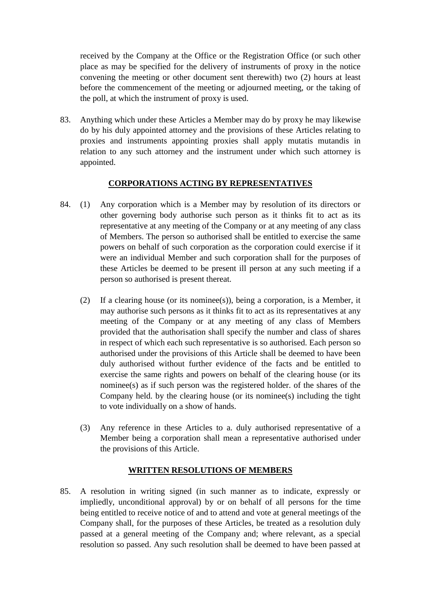received by the Company at the Office or the Registration Office (or such other place as may be specified for the delivery of instruments of proxy in the notice convening the meeting or other document sent therewith) two (2) hours at least before the commencement of the meeting or adjourned meeting, or the taking of the poll, at which the instrument of proxy is used.

83. Anything which under these Articles a Member may do by proxy he may likewise do by his duly appointed attorney and the provisions of these Articles relating to proxies and instruments appointing proxies shall apply mutatis mutandis in relation to any such attorney and the instrument under which such attorney is appointed.

# **CORPORATIONS ACTING BY REPRESENTATIVES**

- 84. (1) Any corporation which is a Member may by resolution of its directors or other governing body authorise such person as it thinks fit to act as its representative at any meeting of the Company or at any meeting of any class of Members. The person so authorised shall be entitled to exercise the same powers on behalf of such corporation as the corporation could exercise if it were an individual Member and such corporation shall for the purposes of these Articles be deemed to be present ill person at any such meeting if a person so authorised is present thereat.
	- (2) If a clearing house (or its nominee(s)), being a corporation, is a Member, it may authorise such persons as it thinks fit to act as its representatives at any meeting of the Company or at any meeting of any class of Members provided that the authorisation shall specify the number and class of shares in respect of which each such representative is so authorised. Each person so authorised under the provisions of this Article shall be deemed to have been duly authorised without further evidence of the facts and be entitled to exercise the same rights and powers on behalf of the clearing house (or its nominee(s) as if such person was the registered holder. of the shares of the Company held. by the clearing house (or its nominee(s) including the tight to vote individually on a show of hands.
	- (3) Any reference in these Articles to a. duly authorised representative of a Member being a corporation shall mean a representative authorised under the provisions of this Article.

### **WRITTEN RESOLUTIONS OF MEMBERS**

85. A resolution in writing signed (in such manner as to indicate, expressly or impliedly, unconditional approval) by or on behalf of all persons for the time being entitled to receive notice of and to attend and vote at general meetings of the Company shall, for the purposes of these Articles, be treated as a resolution duly passed at a general meeting of the Company and; where relevant, as a special resolution so passed. Any such resolution shall be deemed to have been passed at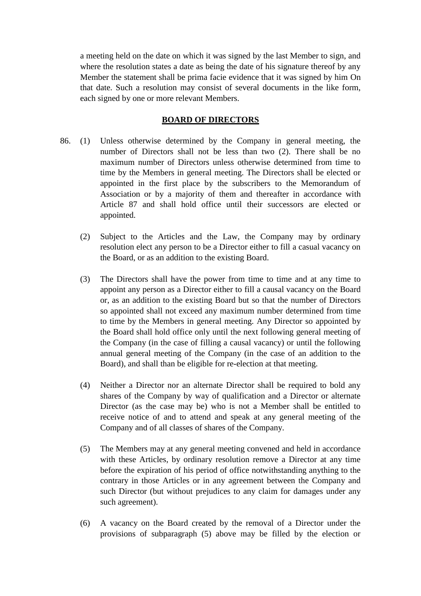a meeting held on the date on which it was signed by the last Member to sign, and where the resolution states a date as being the date of his signature thereof by any Member the statement shall be prima facie evidence that it was signed by him On that date. Such a resolution may consist of several documents in the like form, each signed by one or more relevant Members.

### **BOARD OF DIRECTORS**

- 86. (1) Unless otherwise determined by the Company in general meeting, the number of Directors shall not be less than two (2). There shall be no maximum number of Directors unless otherwise determined from time to time by the Members in general meeting. The Directors shall be elected or appointed in the first place by the subscribers to the Memorandum of Association or by a majority of them and thereafter in accordance with Article 87 and shall hold office until their successors are elected or appointed.
	- (2) Subject to the Articles and the Law, the Company may by ordinary resolution elect any person to be a Director either to fill a casual vacancy on the Board, or as an addition to the existing Board.
	- (3) The Directors shall have the power from time to time and at any time to appoint any person as a Director either to fill a causal vacancy on the Board or, as an addition to the existing Board but so that the number of Directors so appointed shall not exceed any maximum number determined from time to time by the Members in general meeting. Any Director so appointed by the Board shall hold office only until the next following general meeting of the Company (in the case of filling a causal vacancy) or until the following annual general meeting of the Company (in the case of an addition to the Board), and shall than be eligible for re-election at that meeting.
	- (4) Neither a Director nor an alternate Director shall be required to bold any shares of the Company by way of qualification and a Director or alternate Director (as the case may be) who is not a Member shall be entitled to receive notice of and to attend and speak at any general meeting of the Company and of all classes of shares of the Company.
	- (5) The Members may at any general meeting convened and held in accordance with these Articles, by ordinary resolution remove a Director at any time before the expiration of his period of office notwithstanding anything to the contrary in those Articles or in any agreement between the Company and such Director (but without prejudices to any claim for damages under any such agreement).
	- (6) A vacancy on the Board created by the removal of a Director under the provisions of subparagraph (5) above may be filled by the election or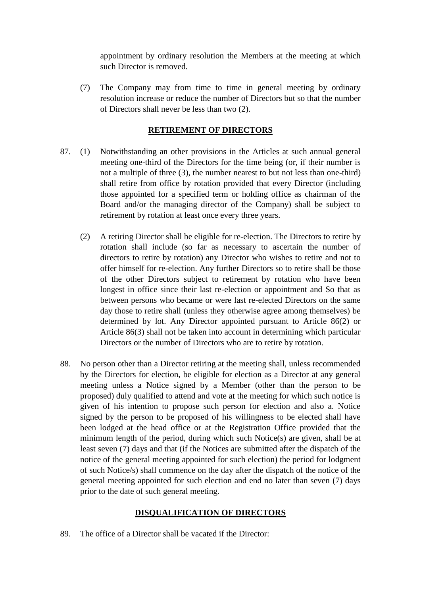appointment by ordinary resolution the Members at the meeting at which such Director is removed.

(7) The Company may from time to time in general meeting by ordinary resolution increase or reduce the number of Directors but so that the number of Directors shall never be less than two (2).

# **RETIREMENT OF DIRECTORS**

- 87. (1) Notwithstanding an other provisions in the Articles at such annual general meeting one-third of the Directors for the time being (or, if their number is not a multiple of three (3), the number nearest to but not less than one-third) shall retire from office by rotation provided that every Director (including those appointed for a specified term or holding office as chairman of the Board and/or the managing director of the Company) shall be subject to retirement by rotation at least once every three years.
	- (2) A retiring Director shall be eligible for re-election. The Directors to retire by rotation shall include (so far as necessary to ascertain the number of directors to retire by rotation) any Director who wishes to retire and not to offer himself for re-election. Any further Directors so to retire shall be those of the other Directors subject to retirement by rotation who have been longest in office since their last re-election or appointment and So that as between persons who became or were last re-elected Directors on the same day those to retire shall (unless they otherwise agree among themselves) be determined by lot. Any Director appointed pursuant to Article 86(2) or Article 86(3) shall not be taken into account in determining which particular Directors or the number of Directors who are to retire by rotation.
- 88. No person other than a Director retiring at the meeting shall, unless recommended by the Directors for election, be eligible for election as a Director at any general meeting unless a Notice signed by a Member (other than the person to be proposed) duly qualified to attend and vote at the meeting for which such notice is given of his intention to propose such person for election and also a. Notice signed by the person to be proposed of his willingness to be elected shall have been lodged at the head office or at the Registration Office provided that the minimum length of the period, during which such Notice(s) are given, shall be at least seven (7) days and that (if the Notices are submitted after the dispatch of the notice of the general meeting appointed for such election) the period for lodgment of such Notice/s) shall commence on the day after the dispatch of the notice of the general meeting appointed for such election and end no later than seven (7) days prior to the date of such general meeting.

### **DISQUALIFICATION OF DIRECTORS**

89. The office of a Director shall be vacated if the Director: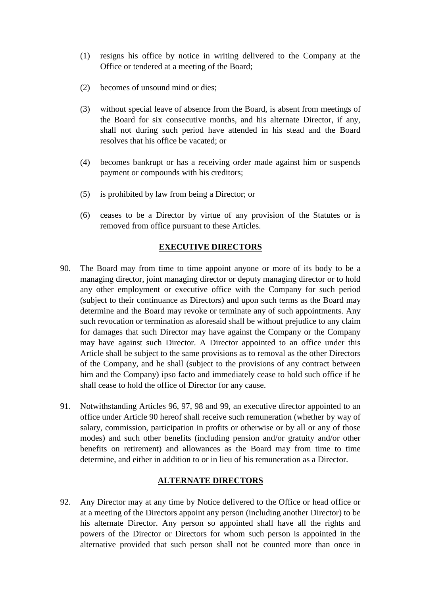- (1) resigns his office by notice in writing delivered to the Company at the Office or tendered at a meeting of the Board;
- (2) becomes of unsound mind or dies;
- (3) without special leave of absence from the Board, is absent from meetings of the Board for six consecutive months, and his alternate Director, if any, shall not during such period have attended in his stead and the Board resolves that his office be vacated; or
- (4) becomes bankrupt or has a receiving order made against him or suspends payment or compounds with his creditors;
- (5) is prohibited by law from being a Director; or
- (6) ceases to be a Director by virtue of any provision of the Statutes or is removed from office pursuant to these Articles.

### **EXECUTIVE DIRECTORS**

- 90. The Board may from time to time appoint anyone or more of its body to be a managing director, joint managing director or deputy managing director or to hold any other employment or executive office with the Company for such period (subject to their continuance as Directors) and upon such terms as the Board may determine and the Board may revoke or terminate any of such appointments. Any such revocation or termination as aforesaid shall be without prejudice to any claim for damages that such Director may have against the Company or the Company may have against such Director. A Director appointed to an office under this Article shall be subject to the same provisions as to removal as the other Directors of the Company, and he shall (subject to the provisions of any contract between him and the Company) ipso facto and immediately cease to hold such office if he shall cease to hold the office of Director for any cause.
- 91. Notwithstanding Articles 96, 97, 98 and 99, an executive director appointed to an office under Article 90 hereof shall receive such remuneration (whether by way of salary, commission, participation in profits or otherwise or by all or any of those modes) and such other benefits (including pension and/or gratuity and/or other benefits on retirement) and allowances as the Board may from time to time determine, and either in addition to or in lieu of his remuneration as a Director.

### **ALTERNATE DIRECTORS**

92. Any Director may at any time by Notice delivered to the Office or head office or at a meeting of the Directors appoint any person (including another Director) to be his alternate Director. Any person so appointed shall have all the rights and powers of the Director or Directors for whom such person is appointed in the alternative provided that such person shall not be counted more than once in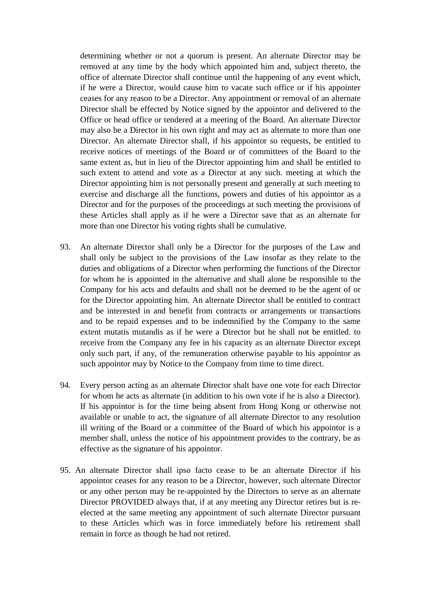determining whether or not a quorum is present. An alternate Director may be removed at any time by the body which appointed him and, subject thereto, the office of alternate Director shall continue until the happening of any event which, if he were a Director, would cause him to vacate such office or if his appointer ceases for any reason to be a Director. Any appointment or removal of an alternate Director shall be effected by Notice signed by the appointor and delivered to the Office or head office or tendered at a meeting of the Board. An alternate Director may also be a Director in his own right and may act as alternate to more than one Director. An alternate Director shall, if his appointor so requests, be entitled to receive notices of meetings of the Board or of committees of the Board to the same extent as, but in lieu of the Director appointing him and shall be entitled to such extent to attend and vote as a Director at any such. meeting at which the Director appointing him is not personally present and generally at such meeting to exercise and discharge all the functions, powers and duties of his appointor as a Director and for the purposes of the proceedings at such meeting the provisions of these Articles shall apply as if he were a Director save that as an alternate for more than one Director his voting rights shall be cumulative.

- 93. An alternate Director shall only be a Director for the purposes of the Law and shall only be subject to the provisions of the Law insofar as they relate to the duties and obligations of a Director when performing the functions of the Director for whom he is appointed in the alternative and shall alone be responsible to the Company for his acts and defaults and shall not be deemed to be the agent of or for the Director appointing him. An alternate Director shall be entitled to contract and be interested in and benefit from contracts or arrangements or transactions and to be repaid expenses and to be indemnified by the Company to the same extent mutatis mutandis as if he were a Director but he shall not be entitled. to receive from the Company any fee in his capacity as an alternate Director except only such part, if any, of the remuneration otherwise payable to his appointor as such appointor may by Notice to the Company from time to time direct.
- 94. Every person acting as an alternate Director shalt have one vote for each Director for whom he acts as alternate (in addition to his own vote if he is also a Director). If his appointor is for the time being absent from Hong Kong or otherwise not available or unable to act, the signature of all alternate Director to any resolution ill writing of the Board or a committee of the Board of which his appointor is a member shall, unless the notice of his appointment provides to the contrary, be as effective as the signature of his appointor.
- 95. An alternate Director shall ipso facto cease to be an alternate Director if his appointor ceases for any reason to be a Director, however, such alternate Director or any other person may be re-appointed by the Directors to serve as an alternate Director PROVIDED always that, if at any meeting any Director retires but is reelected at the same meeting any appointment of such alternate Director pursuant to these Articles which was in force immediately before his retirement shall remain in force as though he had not retired.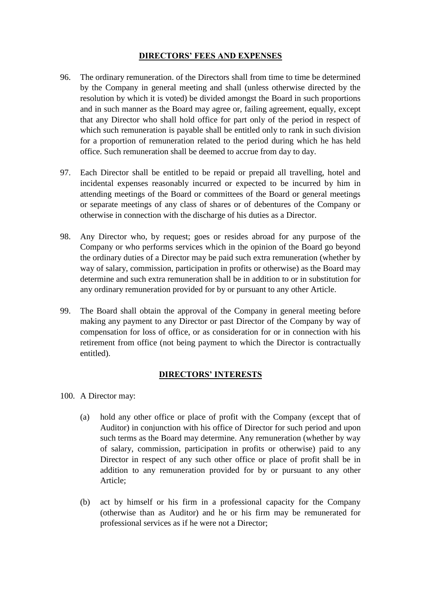### **DIRECTORS' FEES AND EXPENSES**

- 96. The ordinary remuneration. of the Directors shall from time to time be determined by the Company in general meeting and shall (unless otherwise directed by the resolution by which it is voted) be divided amongst the Board in such proportions and in such manner as the Board may agree or, failing agreement, equally, except that any Director who shall hold office for part only of the period in respect of which such remuneration is payable shall be entitled only to rank in such division for a proportion of remuneration related to the period during which he has held office. Such remuneration shall be deemed to accrue from day to day.
- 97. Each Director shall be entitled to be repaid or prepaid all travelling, hotel and incidental expenses reasonably incurred or expected to be incurred by him in attending meetings of the Board or committees of the Board or general meetings or separate meetings of any class of shares or of debentures of the Company or otherwise in connection with the discharge of his duties as a Director.
- 98. Any Director who, by request; goes or resides abroad for any purpose of the Company or who performs services which in the opinion of the Board go beyond the ordinary duties of a Director may be paid such extra remuneration (whether by way of salary, commission, participation in profits or otherwise) as the Board may determine and such extra remuneration shall be in addition to or in substitution for any ordinary remuneration provided for by or pursuant to any other Article.
- 99. The Board shall obtain the approval of the Company in general meeting before making any payment to any Director or past Director of the Company by way of compensation for loss of office, or as consideration for or in connection with his retirement from office (not being payment to which the Director is contractually entitled).

#### **DIRECTORS' INTERESTS**

- 100. A Director may:
	- (a) hold any other office or place of profit with the Company (except that of Auditor) in conjunction with his office of Director for such period and upon such terms as the Board may determine. Any remuneration (whether by way of salary, commission, participation in profits or otherwise) paid to any Director in respect of any such other office or place of profit shall be in addition to any remuneration provided for by or pursuant to any other Article;
	- (b) act by himself or his firm in a professional capacity for the Company (otherwise than as Auditor) and he or his firm may be remunerated for professional services as if he were not a Director;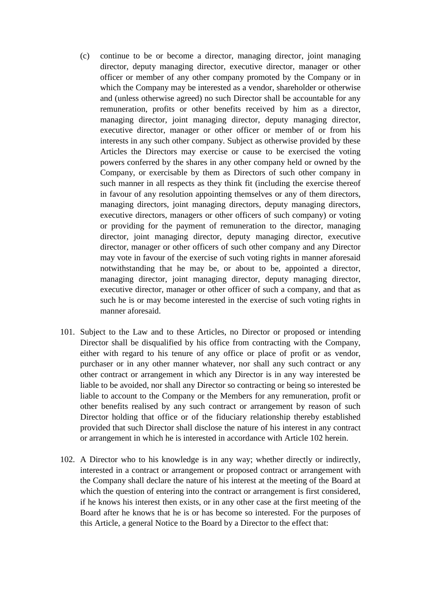- (c) continue to be or become a director, managing director, joint managing director, deputy managing director, executive director, manager or other officer or member of any other company promoted by the Company or in which the Company may be interested as a vendor, shareholder or otherwise and (unless otherwise agreed) no such Director shall be accountable for any remuneration, profits or other benefits received by him as a director, managing director, joint managing director, deputy managing director, executive director, manager or other officer or member of or from his interests in any such other company. Subject as otherwise provided by these Articles the Directors may exercise or cause to be exercised the voting powers conferred by the shares in any other company held or owned by the Company, or exercisable by them as Directors of such other company in such manner in all respects as they think fit (including the exercise thereof in favour of any resolution appointing themselves or any of them directors, managing directors, joint managing directors, deputy managing directors, executive directors, managers or other officers of such company) or voting or providing for the payment of remuneration to the director, managing director, joint managing director, deputy managing director, executive director, manager or other officers of such other company and any Director may vote in favour of the exercise of such voting rights in manner aforesaid notwithstanding that he may be, or about to be, appointed a director, managing director, joint managing director, deputy managing director, executive director, manager or other officer of such a company, and that as such he is or may become interested in the exercise of such voting rights in manner aforesaid.
- 101. Subject to the Law and to these Articles, no Director or proposed or intending Director shall be disqualified by his office from contracting with the Company, either with regard to his tenure of any office or place of profit or as vendor, purchaser or in any other manner whatever, nor shall any such contract or any other contract or arrangement in which any Director is in any way interested be liable to be avoided, nor shall any Director so contracting or being so interested be liable to account to the Company or the Members for any remuneration, profit or other benefits realised by any such contract or arrangement by reason of such Director holding that office or of the fiduciary relationship thereby established provided that such Director shall disclose the nature of his interest in any contract or arrangement in which he is interested in accordance with Article 102 herein.
- 102. A Director who to his knowledge is in any way; whether directly or indirectly, interested in a contract or arrangement or proposed contract or arrangement with the Company shall declare the nature of his interest at the meeting of the Board at which the question of entering into the contract or arrangement is first considered, if he knows his interest then exists, or in any other case at the first meeting of the Board after he knows that he is or has become so interested. For the purposes of this Article, a general Notice to the Board by a Director to the effect that: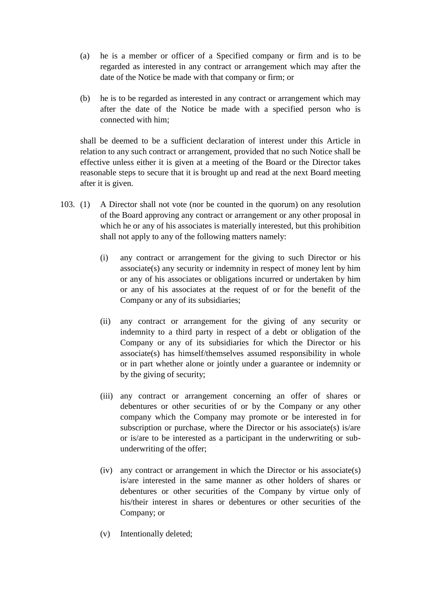- (a) he is a member or officer of a Specified company or firm and is to be regarded as interested in any contract or arrangement which may after the date of the Notice be made with that company or firm; or
- (b) he is to be regarded as interested in any contract or arrangement which may after the date of the Notice be made with a specified person who is connected with him;

shall be deemed to be a sufficient declaration of interest under this Article in relation to any such contract or arrangement, provided that no such Notice shall be effective unless either it is given at a meeting of the Board or the Director takes reasonable steps to secure that it is brought up and read at the next Board meeting after it is given.

- 103. (1) A Director shall not vote (nor be counted in the quorum) on any resolution of the Board approving any contract or arrangement or any other proposal in which he or any of his associates is materially interested, but this prohibition shall not apply to any of the following matters namely:
	- (i) any contract or arrangement for the giving to such Director or his associate(s) any security or indemnity in respect of money lent by him or any of his associates or obligations incurred or undertaken by him or any of his associates at the request of or for the benefit of the Company or any of its subsidiaries;
	- (ii) any contract or arrangement for the giving of any security or indemnity to a third party in respect of a debt or obligation of the Company or any of its subsidiaries for which the Director or his associate(s) has himself/themselves assumed responsibility in whole or in part whether alone or jointly under a guarantee or indemnity or by the giving of security;
	- (iii) any contract or arrangement concerning an offer of shares or debentures or other securities of or by the Company or any other company which the Company may promote or be interested in for subscription or purchase, where the Director or his associate(s) is/are or is/are to be interested as a participant in the underwriting or subunderwriting of the offer;
	- (iv) any contract or arrangement in which the Director or his associate(s) is/are interested in the same manner as other holders of shares or debentures or other securities of the Company by virtue only of his/their interest in shares or debentures or other securities of the Company; or
	- (v) Intentionally deleted;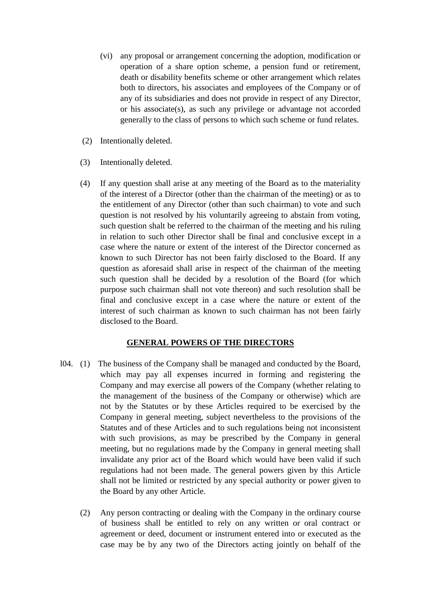- (vi) any proposal or arrangement concerning the adoption, modification or operation of a share option scheme, a pension fund or retirement, death or disability benefits scheme or other arrangement which relates both to directors, his associates and employees of the Company or of any of its subsidiaries and does not provide in respect of any Director, or his associate(s), as such any privilege or advantage not accorded generally to the class of persons to which such scheme or fund relates.
- (2) Intentionally deleted.
- (3) Intentionally deleted.
- (4) If any question shall arise at any meeting of the Board as to the materiality of the interest of a Director (other than the chairman of the meeting) or as to the entitlement of any Director (other than such chairman) to vote and such question is not resolved by his voluntarily agreeing to abstain from voting, such question shalt be referred to the chairman of the meeting and his ruling in relation to such other Director shall be final and conclusive except in a case where the nature or extent of the interest of the Director concerned as known to such Director has not been fairly disclosed to the Board. If any question as aforesaid shall arise in respect of the chairman of the meeting such question shall be decided by a resolution of the Board (for which purpose such chairman shall not vote thereon) and such resolution shall be final and conclusive except in a case where the nature or extent of the interest of such chairman as known to such chairman has not been fairly disclosed to the Board.

### **GENERAL POWERS OF THE DIRECTORS**

- l04. (1) The business of the Company shall be managed and conducted by the Board, which may pay all expenses incurred in forming and registering the Company and may exercise all powers of the Company (whether relating to the management of the business of the Company or otherwise) which are not by the Statutes or by these Articles required to be exercised by the Company in general meeting, subject nevertheless to the provisions of the Statutes and of these Articles and to such regulations being not inconsistent with such provisions, as may be prescribed by the Company in general meeting, but no regulations made by the Company in general meeting shall invalidate any prior act of the Board which would have been valid if such regulations had not been made. The general powers given by this Article shall not be limited or restricted by any special authority or power given to the Board by any other Article.
	- (2) Any person contracting or dealing with the Company in the ordinary course of business shall be entitled to rely on any written or oral contract or agreement or deed, document or instrument entered into or executed as the case may be by any two of the Directors acting jointly on behalf of the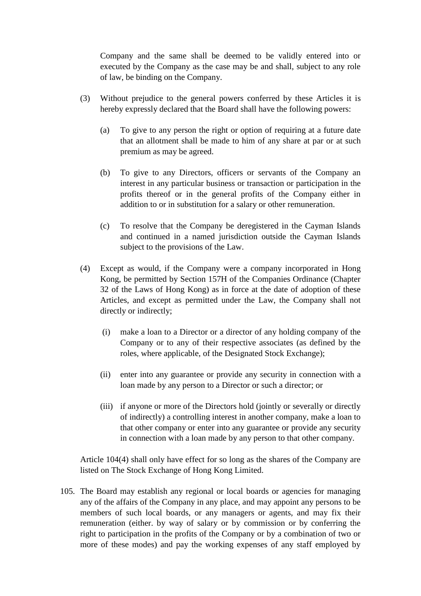Company and the same shall be deemed to be validly entered into or executed by the Company as the case may be and shall, subject to any role of law, be binding on the Company.

- (3) Without prejudice to the general powers conferred by these Articles it is hereby expressly declared that the Board shall have the following powers:
	- (a) To give to any person the right or option of requiring at a future date that an allotment shall be made to him of any share at par or at such premium as may be agreed.
	- (b) To give to any Directors, officers or servants of the Company an interest in any particular business or transaction or participation in the profits thereof or in the general profits of the Company either in addition to or in substitution for a salary or other remuneration.
	- (c) To resolve that the Company be deregistered in the Cayman Islands and continued in a named jurisdiction outside the Cayman Islands subject to the provisions of the Law.
- (4) Except as would, if the Company were a company incorporated in Hong Kong, be permitted by Section 157H of the Companies Ordinance (Chapter 32 of the Laws of Hong Kong) as in force at the date of adoption of these Articles, and except as permitted under the Law, the Company shall not directly or indirectly;
	- (i) make a loan to a Director or a director of any holding company of the Company or to any of their respective associates (as defined by the roles, where applicable, of the Designated Stock Exchange);
	- (ii) enter into any guarantee or provide any security in connection with a loan made by any person to a Director or such a director; or
	- (iii) if anyone or more of the Directors hold (jointly or severally or directly of indirectly) a controlling interest in another company, make a loan to that other company or enter into any guarantee or provide any security in connection with a loan made by any person to that other company.

Article 104(4) shall only have effect for so long as the shares of the Company are listed on The Stock Exchange of Hong Kong Limited.

105. The Board may establish any regional or local boards or agencies for managing any of the affairs of the Company in any place, and may appoint any persons to be members of such local boards, or any managers or agents, and may fix their remuneration (either. by way of salary or by commission or by conferring the right to participation in the profits of the Company or by a combination of two or more of these modes) and pay the working expenses of any staff employed by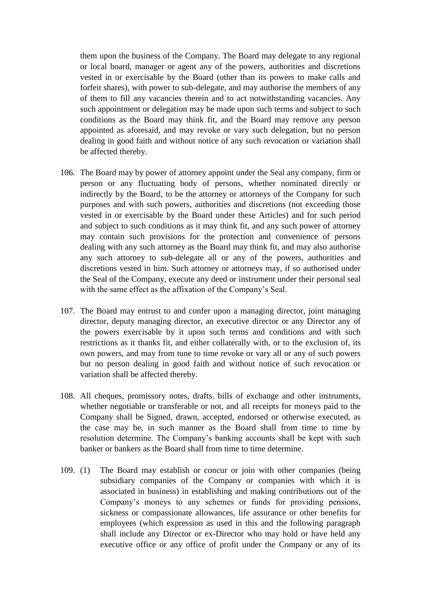them upon the business of the Company. The Board may delegate to any regional or local board, manager or agent any of the powers, authorities and discretions vested in or exercisable by the Board (other than its powers to make calls and forfeit shares), with power to sub-delegate, and may authorise the members of any of them to fill any vacancies therein and to act notwithstanding vacancies. Any such appointment or delegation may be made upon such terms and subject to such conditions as the Board may think fit, and the Board may remove any person appointed as aforesaid, and may revoke or vary such delegation, but no person dealing in good faith and without notice of any such revocation or variation shall be affected thereby.

- 106. The Board may by power of attorney appoint under the Seal any company, firm or person or any fluctuating body of persons, whether nominated directly or indirectly by the Board, to be the attorney or attorneys of the Company for such purposes and with such powers, authorities and discretions (not exceeding those vested in or exercisable by the Board under these Articles) and for such period and subject to such conditions as it may think fit, and any such power of attorney may contain such provisions for the protection and convenience of persons dealing with any such attorney as the Board may think fit, and may also authorise any such attorney to sub-delegate all or any of the powers, authorities and discretions vested in him. Such attorney or attorneys may, if so authorised under the Seal of the Company, execute any deed or instrument under their personal seal with the same effect as the affixation of the Company's Seal.
- 107. The Board may entrust to and confer upon a managing director, joint managing director, deputy managing director, an executive director or any Director any of the powers exercisable by it upon such terms and conditions and with such restrictions as it thanks fit, and either collaterally with, or to the exclusion of, its own powers, and may from tune to time revoke or vary all or any of such powers but no person dealing in good faith and without notice of such revocation or variation shall be affected thereby.
- 108. All cheques, promissory notes, drafts. bills of exchange and other instruments, whether negotiable or transferable or not, and all receipts for moneys paid to the Company shall be Signed, drawn, accepted, endorsed or otherwise executed, as the case may be, in such manner as the Board shall from time to time by resolution determine. The Company's banking accounts shall be kept with such banker or bankers as the Board shall from time to time determine.
- 109. (1) The Board may establish or concur or join with other companies (being subsidiary companies of the Company or companies with which it is associated in business) in establishing and making contributions out of the Company's moneys to any schemes or funds for providing pensions, sickness or compassionate allowances, life assurance or other benefits for employees (which expression as used in this and the following paragraph shall include any Director or ex-Director who may hold or have held any executive office or any office of profit under the Company or any of its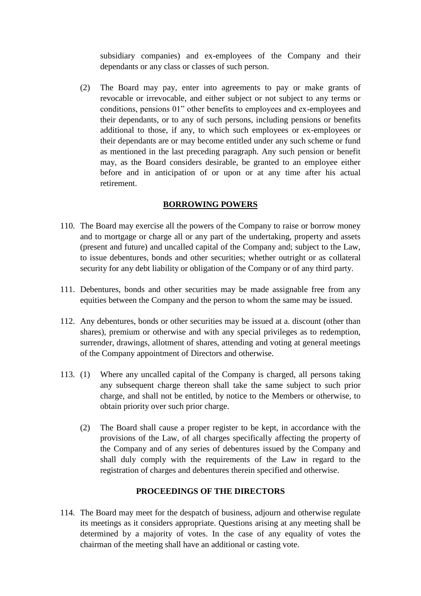subsidiary companies) and ex-employees of the Company and their dependants or any class or classes of such person.

(2) The Board may pay, enter into agreements to pay or make grants of revocable or irrevocable, and either subject or not subject to any terms or conditions, pensions 01" other benefits to employees and ex-employees and their dependants, or to any of such persons, including pensions or benefits additional to those, if any, to which such employees or ex-employees or their dependants are or may become entitled under any such scheme or fund as mentioned in the last preceding paragraph. Any such pension or benefit may, as the Board considers desirable, be granted to an employee either before and in anticipation of or upon or at any time after his actual retirement.

### **BORROWING POWERS**

- 110. The Board may exercise all the powers of the Company to raise or borrow money and to mortgage or charge all or any part of the undertaking, property and assets (present and future) and uncalled capital of the Company and; subject to the Law, to issue debentures, bonds and other securities; whether outright or as collateral security for any debt liability or obligation of the Company or of any third party.
- 111. Debentures, bonds and other securities may be made assignable free from any equities between the Company and the person to whom the same may be issued.
- 112. Any debentures, bonds or other securities may be issued at a. discount (other than shares), premium or otherwise and with any special privileges as to redemption, surrender, drawings, allotment of shares, attending and voting at general meetings of the Company appointment of Directors and otherwise.
- 113. (1) Where any uncalled capital of the Company is charged, all persons taking any subsequent charge thereon shall take the same subject to such prior charge, and shall not be entitled, by notice to the Members or otherwise, to obtain priority over such prior charge.
	- (2) The Board shall cause a proper register to be kept, in accordance with the provisions of the Law, of all charges specifically affecting the property of the Company and of any series of debentures issued by the Company and shall duly comply with the requirements of the Law in regard to the registration of charges and debentures therein specified and otherwise.

### **PROCEEDINGS OF THE DIRECTORS**

114. The Board may meet for the despatch of business, adjourn and otherwise regulate its meetings as it considers appropriate. Questions arising at any meeting shall be determined by a majority of votes. In the case of any equality of votes the chairman of the meeting shall have an additional or casting vote.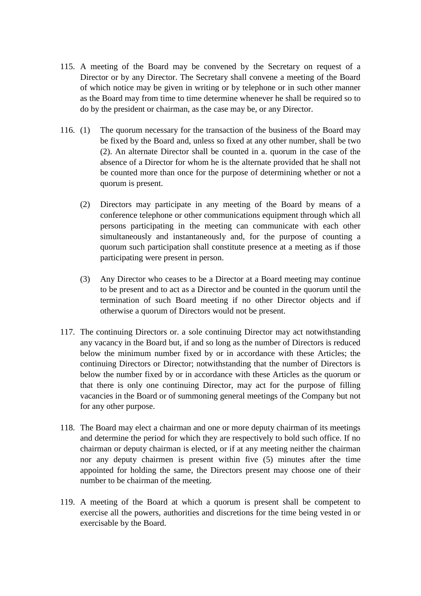- 115. A meeting of the Board may be convened by the Secretary on request of a Director or by any Director. The Secretary shall convene a meeting of the Board of which notice may be given in writing or by telephone or in such other manner as the Board may from time to time determine whenever he shall be required so to do by the president or chairman, as the case may be, or any Director.
- 116. (1) The quorum necessary for the transaction of the business of the Board may be fixed by the Board and, unless so fixed at any other number, shall be two (2). An alternate Director shall be counted in a. quorum in the case of the absence of a Director for whom he is the alternate provided that he shall not be counted more than once for the purpose of determining whether or not a quorum is present.
	- (2) Directors may participate in any meeting of the Board by means of a conference telephone or other communications equipment through which all persons participating in the meeting can communicate with each other simultaneously and instantaneously and, for the purpose of counting a quorum such participation shall constitute presence at a meeting as if those participating were present in person.
	- (3) Any Director who ceases to be a Director at a Board meeting may continue to be present and to act as a Director and be counted in the quorum until the termination of such Board meeting if no other Director objects and if otherwise a quorum of Directors would not be present.
- 117. The continuing Directors or. a sole continuing Director may act notwithstanding any vacancy in the Board but, if and so long as the number of Directors is reduced below the minimum number fixed by or in accordance with these Articles; the continuing Directors or Director; notwithstanding that the number of Directors is below the number fixed by or in accordance with these Articles as the quorum or that there is only one continuing Director, may act for the purpose of filling vacancies in the Board or of summoning general meetings of the Company but not for any other purpose.
- 118. The Board may elect a chairman and one or more deputy chairman of its meetings and determine the period for which they are respectively to bold such office. If no chairman or deputy chairman is elected, or if at any meeting neither the chairman nor any deputy chairmen is present within five (5) minutes after the time appointed for holding the same, the Directors present may choose one of their number to be chairman of the meeting.
- 119. A meeting of the Board at which a quorum is present shall be competent to exercise all the powers, authorities and discretions for the time being vested in or exercisable by the Board.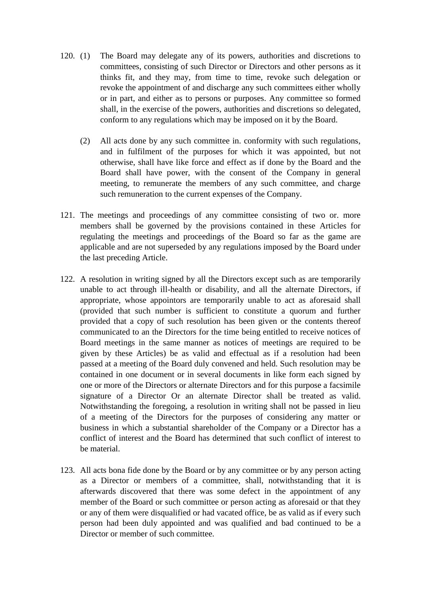- 120. (1) The Board may delegate any of its powers, authorities and discretions to committees, consisting of such Director or Directors and other persons as it thinks fit, and they may, from time to time, revoke such delegation or revoke the appointment of and discharge any such committees either wholly or in part, and either as to persons or purposes. Any committee so formed shall, in the exercise of the powers, authorities and discretions so delegated, conform to any regulations which may be imposed on it by the Board.
	- (2) All acts done by any such committee in. conformity with such regulations, and in fulfilment of the purposes for which it was appointed, but not otherwise, shall have like force and effect as if done by the Board and the Board shall have power, with the consent of the Company in general meeting, to remunerate the members of any such committee, and charge such remuneration to the current expenses of the Company.
- 121. The meetings and proceedings of any committee consisting of two or. more members shall be governed by the provisions contained in these Articles for regulating the meetings and proceedings of the Board so far as the game are applicable and are not superseded by any regulations imposed by the Board under the last preceding Article.
- 122. A resolution in writing signed by all the Directors except such as are temporarily unable to act through ill-health or disability, and all the alternate Directors, if appropriate, whose appointors are temporarily unable to act as aforesaid shall (provided that such number is sufficient to constitute a quorum and further provided that a copy of such resolution has been given or the contents thereof communicated to an the Directors for the time being entitled to receive notices of Board meetings in the same manner as notices of meetings are required to be given by these Articles) be as valid and effectual as if a resolution had been passed at a meeting of the Board duly convened and held. Such resolution may be contained in one document or in several documents in like form each signed by one or more of the Directors or alternate Directors and for this purpose a facsimile signature of a Director Or an alternate Director shall be treated as valid. Notwithstanding the foregoing, a resolution in writing shall not be passed in lieu of a meeting of the Directors for the purposes of considering any matter or business in which a substantial shareholder of the Company or a Director has a conflict of interest and the Board has determined that such conflict of interest to be material.
- 123. All acts bona fide done by the Board or by any committee or by any person acting as a Director or members of a committee, shall, notwithstanding that it is afterwards discovered that there was some defect in the appointment of any member of the Board or such committee or person acting as aforesaid or that they or any of them were disqualified or had vacated office, be as valid as if every such person had been duly appointed and was qualified and bad continued to be a Director or member of such committee.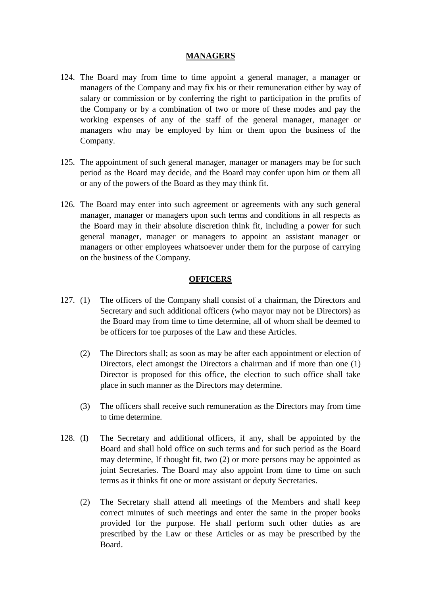### **MANAGERS**

- 124. The Board may from time to time appoint a general manager, a manager or managers of the Company and may fix his or their remuneration either by way of salary or commission or by conferring the right to participation in the profits of the Company or by a combination of two or more of these modes and pay the working expenses of any of the staff of the general manager, manager or managers who may be employed by him or them upon the business of the Company.
- 125. The appointment of such general manager, manager or managers may be for such period as the Board may decide, and the Board may confer upon him or them all or any of the powers of the Board as they may think fit.
- 126. The Board may enter into such agreement or agreements with any such general manager, manager or managers upon such terms and conditions in all respects as the Board may in their absolute discretion think fit, including a power for such general manager, manager or managers to appoint an assistant manager or managers or other employees whatsoever under them for the purpose of carrying on the business of the Company.

#### **OFFICERS**

- 127. (1) The officers of the Company shall consist of a chairman, the Directors and Secretary and such additional officers (who mayor may not be Directors) as the Board may from time to time determine, all of whom shall be deemed to be officers for toe purposes of the Law and these Articles.
	- (2) The Directors shall; as soon as may be after each appointment or election of Directors, elect amongst the Directors a chairman and if more than one (1) Director is proposed for this office, the election to such office shall take place in such manner as the Directors may determine.
	- (3) The officers shall receive such remuneration as the Directors may from time to time determine.
- 128. (I) The Secretary and additional officers, if any, shall be appointed by the Board and shall hold office on such terms and for such period as the Board may determine, If thought fit, two (2) or more persons may be appointed as joint Secretaries. The Board may also appoint from time to time on such terms as it thinks fit one or more assistant or deputy Secretaries.
	- (2) The Secretary shall attend all meetings of the Members and shall keep correct minutes of such meetings and enter the same in the proper books provided for the purpose. He shall perform such other duties as are prescribed by the Law or these Articles or as may be prescribed by the Board.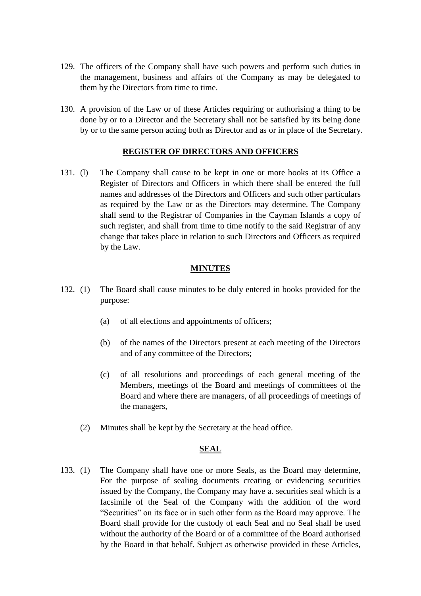- 129. The officers of the Company shall have such powers and perform such duties in the management, business and affairs of the Company as may be delegated to them by the Directors from time to time.
- 130. A provision of the Law or of these Articles requiring or authorising a thing to be done by or to a Director and the Secretary shall not be satisfied by its being done by or to the same person acting both as Director and as or in place of the Secretary.

### **REGISTER OF DIRECTORS AND OFFICERS**

131. (l) The Company shall cause to be kept in one or more books at its Office a Register of Directors and Officers in which there shall be entered the full names and addresses of the Directors and Officers and such other particulars as required by the Law or as the Directors may determine. The Company shall send to the Registrar of Companies in the Cayman Islands a copy of such register, and shall from time to time notify to the said Registrar of any change that takes place in relation to such Directors and Officers as required by the Law.

#### **MINUTES**

- 132. (1) The Board shall cause minutes to be duly entered in books provided for the purpose:
	- (a) of all elections and appointments of officers;
	- (b) of the names of the Directors present at each meeting of the Directors and of any committee of the Directors;
	- (c) of all resolutions and proceedings of each general meeting of the Members, meetings of the Board and meetings of committees of the Board and where there are managers, of all proceedings of meetings of the managers,
	- (2) Minutes shall be kept by the Secretary at the head office.

#### **SEAL**

133. (1) The Company shall have one or more Seals, as the Board may determine, For the purpose of sealing documents creating or evidencing securities issued by the Company, the Company may have a. securities seal which is a facsimile of the Seal of the Company with the addition of the word "Securities" on its face or in such other form as the Board may approve. The Board shall provide for the custody of each Seal and no Seal shall be used without the authority of the Board or of a committee of the Board authorised by the Board in that behalf. Subject as otherwise provided in these Articles,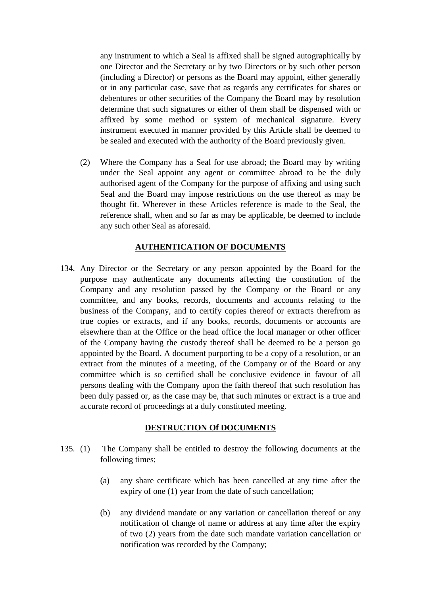any instrument to which a Seal is affixed shall be signed autographically by one Director and the Secretary or by two Directors or by such other person (including a Director) or persons as the Board may appoint, either generally or in any particular case, save that as regards any certificates for shares or debentures or other securities of the Company the Board may by resolution determine that such signatures or either of them shall be dispensed with or affixed by some method or system of mechanical signature. Every instrument executed in manner provided by this Article shall be deemed to be sealed and executed with the authority of the Board previously given.

(2) Where the Company has a Seal for use abroad; the Board may by writing under the Seal appoint any agent or committee abroad to be the duly authorised agent of the Company for the purpose of affixing and using such Seal and the Board may impose restrictions on the use thereof as may be thought fit. Wherever in these Articles reference is made to the Seal, the reference shall, when and so far as may be applicable, be deemed to include any such other Seal as aforesaid.

### **AUTHENTICATION OF DOCUMENTS**

134. Any Director or the Secretary or any person appointed by the Board for the purpose may authenticate any documents affecting the constitution of the Company and any resolution passed by the Company or the Board or any committee, and any books, records, documents and accounts relating to the business of the Company, and to certify copies thereof or extracts therefrom as true copies or extracts, and if any books, records, documents or accounts are elsewhere than at the Office or the head office the local manager or other officer of the Company having the custody thereof shall be deemed to be a person go appointed by the Board. A document purporting to be a copy of a resolution, or an extract from the minutes of a meeting, of the Company or of the Board or any committee which is so certified shall be conclusive evidence in favour of all persons dealing with the Company upon the faith thereof that such resolution has been duly passed or, as the case may be, that such minutes or extract is a true and accurate record of proceedings at a duly constituted meeting.

#### **DESTRUCTION Of DOCUMENTS**

- 135. (1) The Company shall be entitled to destroy the following documents at the following times;
	- (a) any share certificate which has been cancelled at any time after the expiry of one (1) year from the date of such cancellation;
	- (b) any dividend mandate or any variation or cancellation thereof or any notification of change of name or address at any time after the expiry of two (2) years from the date such mandate variation cancellation or notification was recorded by the Company;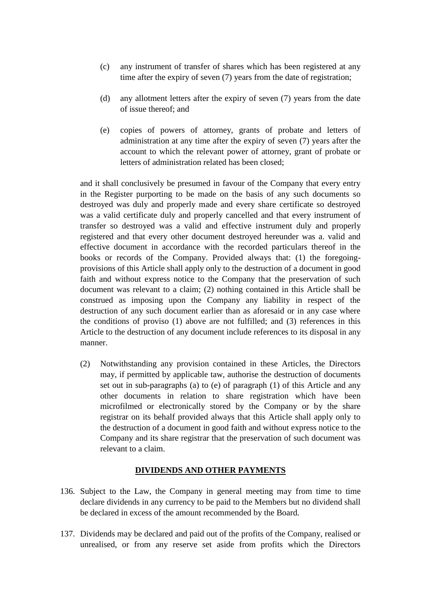- (c) any instrument of transfer of shares which has been registered at any time after the expiry of seven (7) years from the date of registration;
- (d) any allotment letters after the expiry of seven (7) years from the date of issue thereof; and
- (e) copies of powers of attorney, grants of probate and letters of administration at any time after the expiry of seven (7) years after the account to which the relevant power of attorney, grant of probate or letters of administration related has been closed;

and it shall conclusively be presumed in favour of the Company that every entry in the Register purporting to be made on the basis of any such documents so destroyed was duly and properly made and every share certificate so destroyed was a valid certificate duly and properly cancelled and that every instrument of transfer so destroyed was a valid and effective instrument duly and properly registered and that every other document destroyed hereunder was a. valid and effective document in accordance with the recorded particulars thereof in the books or records of the Company. Provided always that: (1) the foregoingprovisions of this Article shall apply only to the destruction of a document in good faith and without express notice to the Company that the preservation of such document was relevant to a claim; (2) nothing contained in this Article shall be construed as imposing upon the Company any liability in respect of the destruction of any such document earlier than as aforesaid or in any case where the conditions of proviso (1) above are not fulfilled; and (3) references in this Article to the destruction of any document include references to its disposal in any manner.

(2) Notwithstanding any provision contained in these Articles, the Directors may, if permitted by applicable taw, authorise the destruction of documents set out in sub-paragraphs (a) to (e) of paragraph (1) of this Article and any other documents in relation to share registration which have been microfilmed or electronically stored by the Company or by the share registrar on its behalf provided always that this Article shall apply only to the destruction of a document in good faith and without express notice to the Company and its share registrar that the preservation of such document was relevant to a claim.

#### **DIVIDENDS AND OTHER PAYMENTS**

- 136. Subject to the Law, the Company in general meeting may from time to time declare dividends in any currency to be paid to the Members but no dividend shall be declared in excess of the amount recommended by the Board.
- 137. Dividends may be declared and paid out of the profits of the Company, realised or unrealised, or from any reserve set aside from profits which the Directors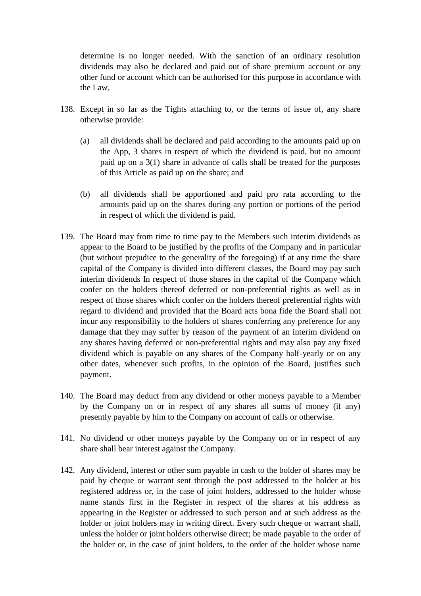determine is no longer needed. With the sanction of an ordinary resolution dividends may also be declared and paid out of share premium account or any other fund or account which can be authorised for this purpose in accordance with the Law,

- 138. Except in so far as the Tights attaching to, or the terms of issue of, any share otherwise provide:
	- (a) all dividends shall be declared and paid according to the amounts paid up on the App, 3 shares in respect of which the dividend is paid, but no amount paid up on a 3(1) share in advance of calls shall be treated for the purposes of this Article as paid up on the share; and
	- (b) all dividends shall be apportioned and paid pro rata according to the amounts paid up on the shares during any portion or portions of the period in respect of which the dividend is paid.
- 139. The Board may from time to time pay to the Members such interim dividends as appear to the Board to be justified by the profits of the Company and in particular (but without prejudice to the generality of the foregoing) if at any time the share capital of the Company is divided into different classes, the Board may pay such interim dividends In respect of those shares in the capital of the Company which confer on the holders thereof deferred or non-preferential rights as well as in respect of those shares which confer on the holders thereof preferential rights with regard to dividend and provided that the Board acts bona fide the Board shall not incur any responsibility to the holders of shares conferring any preference for any damage that they may suffer by reason of the payment of an interim dividend on any shares having deferred or non-preferential rights and may also pay any fixed dividend which is payable on any shares of the Company half-yearly or on any other dates, whenever such profits, in the opinion of the Board, justifies such payment.
- 140. The Board may deduct from any dividend or other moneys payable to a Member by the Company on or in respect of any shares all sums of money (if any) presently payable by him to the Company on account of calls or otherwise.
- 141. No dividend or other moneys payable by the Company on or in respect of any share shall bear interest against the Company.
- 142. Any dividend, interest or other sum payable in cash to the bolder of shares may be paid by cheque or warrant sent through the post addressed to the holder at his registered address or, in the case of joint holders, addressed to the holder whose name stands first in the Register in respect of the shares at his address as appearing in the Register or addressed to such person and at such address as the holder or joint holders may in writing direct. Every such cheque or warrant shall, unless the holder or joint holders otherwise direct; be made payable to the order of the holder or, in the case of joint holders, to the order of the holder whose name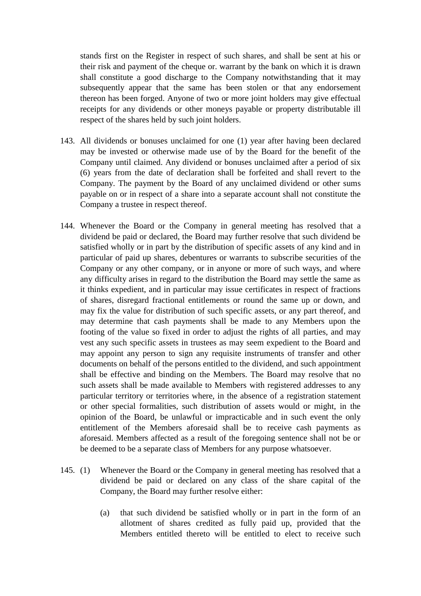stands first on the Register in respect of such shares, and shall be sent at his or their risk and payment of the cheque or. warrant by the bank on which it is drawn shall constitute a good discharge to the Company notwithstanding that it may subsequently appear that the same has been stolen or that any endorsement thereon has been forged. Anyone of two or more joint holders may give effectual receipts for any dividends or other moneys payable or property distributable ill respect of the shares held by such joint holders.

- 143. All dividends or bonuses unclaimed for one (1) year after having been declared may be invested or otherwise made use of by the Board for the benefit of the Company until claimed. Any dividend or bonuses unclaimed after a period of six (6) years from the date of declaration shall be forfeited and shall revert to the Company. The payment by the Board of any unclaimed dividend or other sums payable on or in respect of a share into a separate account shall not constitute the Company a trustee in respect thereof.
- 144. Whenever the Board or the Company in general meeting has resolved that a dividend be paid or declared, the Board may further resolve that such dividend be satisfied wholly or in part by the distribution of specific assets of any kind and in particular of paid up shares, debentures or warrants to subscribe securities of the Company or any other company, or in anyone or more of such ways, and where any difficulty arises in regard to the distribution the Board may settle the same as it thinks expedient, and in particular may issue certificates in respect of fractions of shares, disregard fractional entitlements or round the same up or down, and may fix the value for distribution of such specific assets, or any part thereof, and may determine that cash payments shall be made to any Members upon the footing of the value so fixed in order to adjust the rights of all parties, and may vest any such specific assets in trustees as may seem expedient to the Board and may appoint any person to sign any requisite instruments of transfer and other documents on behalf of the persons entitled to the dividend, and such appointment shall be effective and binding on the Members. The Board may resolve that no such assets shall be made available to Members with registered addresses to any particular territory or territories where, in the absence of a registration statement or other special formalities, such distribution of assets would or might, in the opinion of the Board, be unlawful or impracticable and in such event the only entitlement of the Members aforesaid shall be to receive cash payments as aforesaid. Members affected as a result of the foregoing sentence shall not be or be deemed to be a separate class of Members for any purpose whatsoever.
- 145. (1) Whenever the Board or the Company in general meeting has resolved that a dividend be paid or declared on any class of the share capital of the Company, the Board may further resolve either:
	- (a) that such dividend be satisfied wholly or in part in the form of an allotment of shares credited as fully paid up, provided that the Members entitled thereto will be entitled to elect to receive such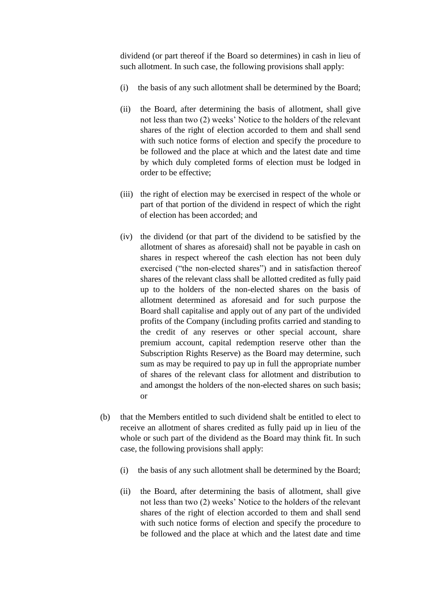dividend (or part thereof if the Board so determines) in cash in lieu of such allotment. In such case, the following provisions shall apply:

- (i) the basis of any such allotment shall be determined by the Board;
- (ii) the Board, after determining the basis of allotment, shall give not less than two (2) weeks' Notice to the holders of the relevant shares of the right of election accorded to them and shall send with such notice forms of election and specify the procedure to be followed and the place at which and the latest date and time by which duly completed forms of election must be lodged in order to be effective;
- (iii) the right of election may be exercised in respect of the whole or part of that portion of the dividend in respect of which the right of election has been accorded; and
- (iv) the dividend (or that part of the dividend to be satisfied by the allotment of shares as aforesaid) shall not be payable in cash on shares in respect whereof the cash election has not been duly exercised ("the non-elected shares") and in satisfaction thereof shares of the relevant class shall be allotted credited as fully paid up to the holders of the non-elected shares on the basis of allotment determined as aforesaid and for such purpose the Board shall capitalise and apply out of any part of the undivided profits of the Company (including profits carried and standing to the credit of any reserves or other special account, share premium account, capital redemption reserve other than the Subscription Rights Reserve) as the Board may determine, such sum as may be required to pay up in full the appropriate number of shares of the relevant class for allotment and distribution to and amongst the holders of the non-elected shares on such basis; or
- (b) that the Members entitled to such dividend shalt be entitled to elect to receive an allotment of shares credited as fully paid up in lieu of the whole or such part of the dividend as the Board may think fit. In such case, the following provisions shall apply:
	- (i) the basis of any such allotment shall be determined by the Board;
	- (ii) the Board, after determining the basis of allotment, shall give not less than two (2) weeks' Notice to the holders of the relevant shares of the right of election accorded to them and shall send with such notice forms of election and specify the procedure to be followed and the place at which and the latest date and time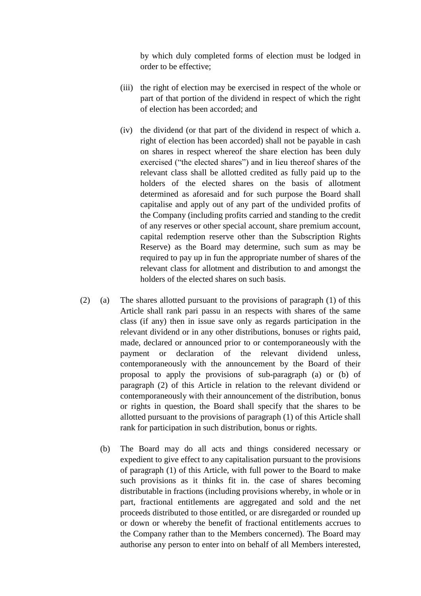by which duly completed forms of election must be lodged in order to be effective;

- (iii) the right of election may be exercised in respect of the whole or part of that portion of the dividend in respect of which the right of election has been accorded; and
- (iv) the dividend (or that part of the dividend in respect of which a. right of election has been accorded) shall not be payable in cash on shares in respect whereof the share election has been duly exercised ("the elected shares") and in lieu thereof shares of the relevant class shall be allotted credited as fully paid up to the holders of the elected shares on the basis of allotment determined as aforesaid and for such purpose the Board shall capitalise and apply out of any part of the undivided profits of the Company (including profits carried and standing to the credit of any reserves or other special account, share premium account, capital redemption reserve other than the Subscription Rights Reserve) as the Board may determine, such sum as may be required to pay up in fun the appropriate number of shares of the relevant class for allotment and distribution to and amongst the holders of the elected shares on such basis.
- (2) (a) The shares allotted pursuant to the provisions of paragraph (1) of this Article shall rank pari passu in an respects with shares of the same class (if any) then in issue save only as regards participation in the relevant dividend or in any other distributions, bonuses or rights paid, made, declared or announced prior to or contemporaneously with the payment or declaration of the relevant dividend unless, contemporaneously with the announcement by the Board of their proposal to apply the provisions of sub-paragraph (a) or (b) of paragraph (2) of this Article in relation to the relevant dividend or contemporaneously with their announcement of the distribution, bonus or rights in question, the Board shall specify that the shares to be allotted pursuant to the provisions of paragraph (1) of this Article shall rank for participation in such distribution, bonus or rights.
	- (b) The Board may do all acts and things considered necessary or expedient to give effect to any capitalisation pursuant to the provisions of paragraph (1) of this Article, with full power to the Board to make such provisions as it thinks fit in. the case of shares becoming distributable in fractions (including provisions whereby, in whole or in part, fractional entitlements are aggregated and sold and the net proceeds distributed to those entitled, or are disregarded or rounded up or down or whereby the benefit of fractional entitlements accrues to the Company rather than to the Members concerned). The Board may authorise any person to enter into on behalf of all Members interested,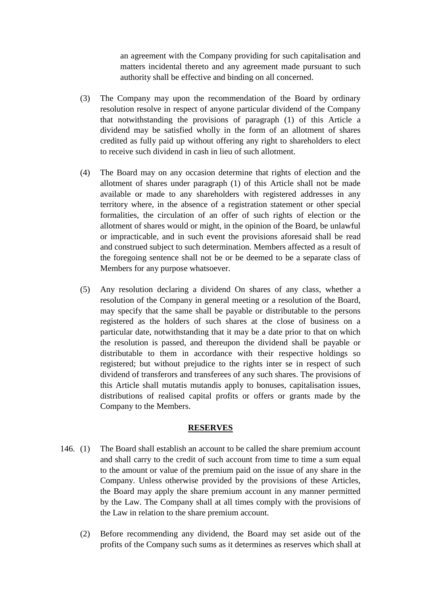an agreement with the Company providing for such capitalisation and matters incidental thereto and any agreement made pursuant to such authority shall be effective and binding on all concerned.

- (3) The Company may upon the recommendation of the Board by ordinary resolution resolve in respect of anyone particular dividend of the Company that notwithstanding the provisions of paragraph (1) of this Article a dividend may be satisfied wholly in the form of an allotment of shares credited as fully paid up without offering any right to shareholders to elect to receive such dividend in cash in lieu of such allotment.
- (4) The Board may on any occasion determine that rights of election and the allotment of shares under paragraph (1) of this Article shall not be made available or made to any shareholders with registered addresses in any territory where, in the absence of a registration statement or other special formalities, the circulation of an offer of such rights of election or the allotment of shares would or might, in the opinion of the Board, be unlawful or impracticable, and in such event the provisions aforesaid shall be read and construed subject to such determination. Members affected as a result of the foregoing sentence shall not be or be deemed to be a separate class of Members for any purpose whatsoever.
- (5) Any resolution declaring a dividend On shares of any class, whether a resolution of the Company in general meeting or a resolution of the Board, may specify that the same shall be payable or distributable to the persons registered as the holders of such shares at the close of business on a particular date, notwithstanding that it may be a date prior to that on which the resolution is passed, and thereupon the dividend shall be payable or distributable to them in accordance with their respective holdings so registered; but without prejudice to the rights inter se in respect of such dividend of transferors and transferees of any such shares. The provisions of this Article shall mutatis mutandis apply to bonuses, capitalisation issues, distributions of realised capital profits or offers or grants made by the Company to the Members.

#### **RESERVES**

- 146. (1) The Board shall establish an account to be called the share premium account and shall carry to the credit of such account from time to time a sum equal to the amount or value of the premium paid on the issue of any share in the Company. Unless otherwise provided by the provisions of these Articles, the Board may apply the share premium account in any manner permitted by the Law. The Company shall at all times comply with the provisions of the Law in relation to the share premium account.
	- (2) Before recommending any dividend, the Board may set aside out of the profits of the Company such sums as it determines as reserves which shall at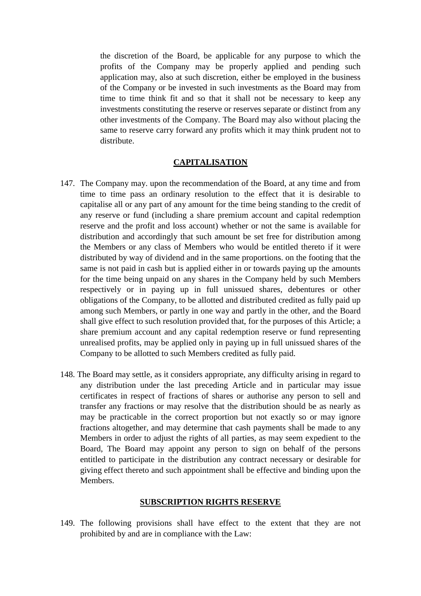the discretion of the Board, be applicable for any purpose to which the profits of the Company may be properly applied and pending such application may, also at such discretion, either be employed in the business of the Company or be invested in such investments as the Board may from time to time think fit and so that it shall not be necessary to keep any investments constituting the reserve or reserves separate or distinct from any other investments of the Company. The Board may also without placing the same to reserve carry forward any profits which it may think prudent not to distribute.

#### **CAPITALISATION**

- 147. The Company may. upon the recommendation of the Board, at any time and from time to time pass an ordinary resolution to the effect that it is desirable to capitalise all or any part of any amount for the time being standing to the credit of any reserve or fund (including a share premium account and capital redemption reserve and the profit and loss account) whether or not the same is available for distribution and accordingly that such amount be set free for distribution among the Members or any class of Members who would be entitled thereto if it were distributed by way of dividend and in the same proportions. on the footing that the same is not paid in cash but is applied either in or towards paying up the amounts for the time being unpaid on any shares in the Company held by such Members respectively or in paying up in full unissued shares, debentures or other obligations of the Company, to be allotted and distributed credited as fully paid up among such Members, or partly in one way and partly in the other, and the Board shall give effect to such resolution provided that, for the purposes of this Article; a share premium account and any capital redemption reserve or fund representing unrealised profits, may be applied only in paying up in full unissued shares of the Company to be allotted to such Members credited as fully paid.
- 148. The Board may settle, as it considers appropriate, any difficulty arising in regard to any distribution under the last preceding Article and in particular may issue certificates in respect of fractions of shares or authorise any person to sell and transfer any fractions or may resolve that the distribution should be as nearly as may be practicable in the correct proportion but not exactly so or may ignore fractions altogether, and may determine that cash payments shall be made to any Members in order to adjust the rights of all parties, as may seem expedient to the Board, The Board may appoint any person to sign on behalf of the persons entitled to participate in the distribution any contract necessary or desirable for giving effect thereto and such appointment shall be effective and binding upon the Members.

#### **SUBSCRIPTION RIGHTS RESERVE**

149. The following provisions shall have effect to the extent that they are not prohibited by and are in compliance with the Law: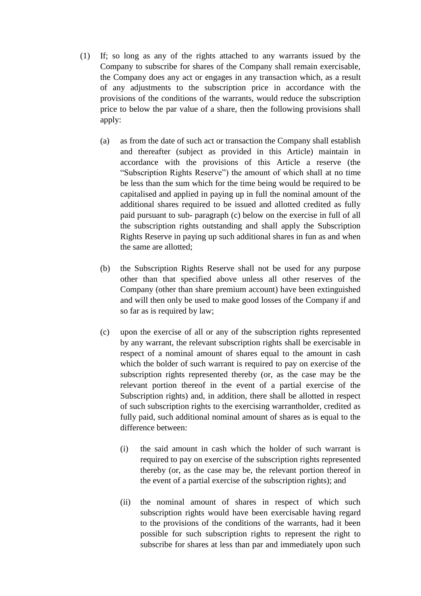- (1) If; so long as any of the rights attached to any warrants issued by the Company to subscribe for shares of the Company shall remain exercisable, the Company does any act or engages in any transaction which, as a result of any adjustments to the subscription price in accordance with the provisions of the conditions of the warrants, would reduce the subscription price to below the par value of a share, then the following provisions shall apply:
	- (a) as from the date of such act or transaction the Company shall establish and thereafter (subject as provided in this Article) maintain in accordance with the provisions of this Article a reserve (the "Subscription Rights Reserve") the amount of which shall at no time be less than the sum which for the time being would be required to be capitalised and applied in paying up in full the nominal amount of the additional shares required to be issued and allotted credited as fully paid pursuant to sub- paragraph (c) below on the exercise in full of all the subscription rights outstanding and shall apply the Subscription Rights Reserve in paying up such additional shares in fun as and when the same are allotted;
	- (b) the Subscription Rights Reserve shall not be used for any purpose other than that specified above unless all other reserves of the Company (other than share premium account) have been extinguished and will then only be used to make good losses of the Company if and so far as is required by law;
	- (c) upon the exercise of all or any of the subscription rights represented by any warrant, the relevant subscription rights shall be exercisable in respect of a nominal amount of shares equal to the amount in cash which the bolder of such warrant is required to pay on exercise of the subscription rights represented thereby (or, as the case may be the relevant portion thereof in the event of a partial exercise of the Subscription rights) and, in addition, there shall be allotted in respect of such subscription rights to the exercising warrantholder, credited as fully paid, such additional nominal amount of shares as is equal to the difference between:
		- (i) the said amount in cash which the holder of such warrant is required to pay on exercise of the subscription rights represented thereby (or, as the case may be, the relevant portion thereof in the event of a partial exercise of the subscription rights); and
		- (ii) the nominal amount of shares in respect of which such subscription rights would have been exercisable having regard to the provisions of the conditions of the warrants, had it been possible for such subscription rights to represent the right to subscribe for shares at less than par and immediately upon such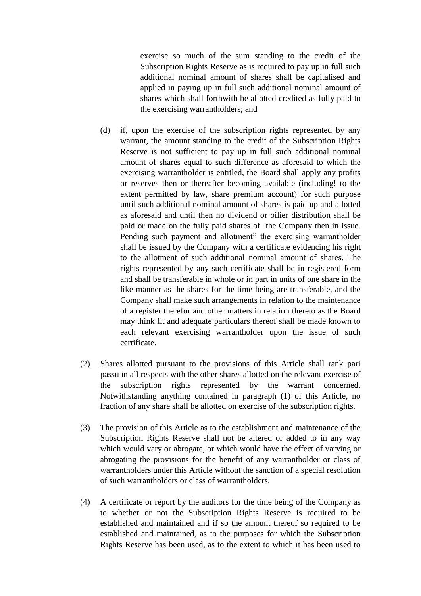exercise so much of the sum standing to the credit of the Subscription Rights Reserve as is required to pay up in full such additional nominal amount of shares shall be capitalised and applied in paying up in full such additional nominal amount of shares which shall forthwith be allotted credited as fully paid to the exercising warrantholders; and

- (d) if, upon the exercise of the subscription rights represented by any warrant, the amount standing to the credit of the Subscription Rights Reserve is not sufficient to pay up in full such additional nominal amount of shares equal to such difference as aforesaid to which the exercising warrantholder is entitled, the Board shall apply any profits or reserves then or thereafter becoming available (including! to the extent permitted by law, share premium account) for such purpose until such additional nominal amount of shares is paid up and allotted as aforesaid and until then no dividend or oilier distribution shall be paid or made on the fully paid shares of the Company then in issue. Pending such payment and allotment" the exercising warrantholder shall be issued by the Company with a certificate evidencing his right to the allotment of such additional nominal amount of shares. The rights represented by any such certificate shall be in registered form and shall be transferable in whole or in part in units of one share in the like manner as the shares for the time being are transferable, and the Company shall make such arrangements in relation to the maintenance of a register therefor and other matters in relation thereto as the Board may think fit and adequate particulars thereof shall be made known to each relevant exercising warrantholder upon the issue of such certificate.
- (2) Shares allotted pursuant to the provisions of this Article shall rank pari passu in all respects with the other shares allotted on the relevant exercise of the subscription rights represented by the warrant concerned. Notwithstanding anything contained in paragraph (1) of this Article, no fraction of any share shall be allotted on exercise of the subscription rights.
- (3) The provision of this Article as to the establishment and maintenance of the Subscription Rights Reserve shall not be altered or added to in any way which would vary or abrogate, or which would have the effect of varying or abrogating the provisions for the benefit of any warrantholder or class of warrantholders under this Article without the sanction of a special resolution of such warrantholders or class of warrantholders.
- (4) A certificate or report by the auditors for the time being of the Company as to whether or not the Subscription Rights Reserve is required to be established and maintained and if so the amount thereof so required to be established and maintained, as to the purposes for which the Subscription Rights Reserve has been used, as to the extent to which it has been used to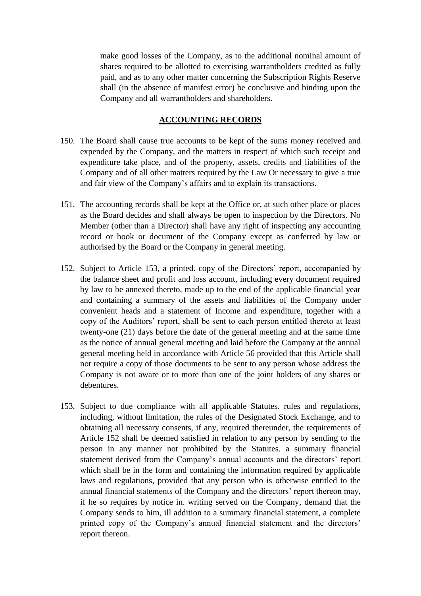make good losses of the Company, as to the additional nominal amount of shares required to be allotted to exercising warrantholders credited as fully paid, and as to any other matter concerning the Subscription Rights Reserve shall (in the absence of manifest error) be conclusive and binding upon the Company and all warrantholders and shareholders.

### **ACCOUNTING RECORDS**

- 150. The Board shall cause true accounts to be kept of the sums money received and expended by the Company, and the matters in respect of which such receipt and expenditure take place, and of the property, assets, credits and liabilities of the Company and of all other matters required by the Law Or necessary to give a true and fair view of the Company's affairs and to explain its transactions.
- 151. The accounting records shall be kept at the Office or, at such other place or places as the Board decides and shall always be open to inspection by the Directors. No Member (other than a Director) shall have any right of inspecting any accounting record or book or document of the Company except as conferred by law or authorised by the Board or the Company in general meeting.
- 152. Subject to Article 153, a printed. copy of the Directors' report, accompanied by the balance sheet and profit and loss account, including every document required by law to be annexed thereto, made up to the end of the applicable financial year and containing a summary of the assets and liabilities of the Company under convenient heads and a statement of Income and expenditure, together with a copy of the Auditors' report, shall be sent to each person entitled thereto at least twenty-one (21) days before the date of the general meeting and at the same time as the notice of annual general meeting and laid before the Company at the annual general meeting held in accordance with Article 56 provided that this Article shall not require a copy of those documents to be sent to any person whose address the Company is not aware or to more than one of the joint holders of any shares or debentures.
- 153. Subject to due compliance with all applicable Statutes. rules and regulations, including, without limitation, the rules of the Designated Stock Exchange, and to obtaining all necessary consents, if any, required thereunder, the requirements of Article 152 shall be deemed satisfied in relation to any person by sending to the person in any manner not prohibited by the Statutes. a summary financial statement derived from the Company's annual accounts and the directors' report which shall be in the form and containing the information required by applicable laws and regulations, provided that any person who is otherwise entitled to the annual financial statements of the Company and the directors' report thereon may, if he so requires by notice in. writing served on the Company, demand that the Company sends to him, ill addition to a summary financial statement, a complete printed copy of the Company's annual financial statement and the directors' report thereon.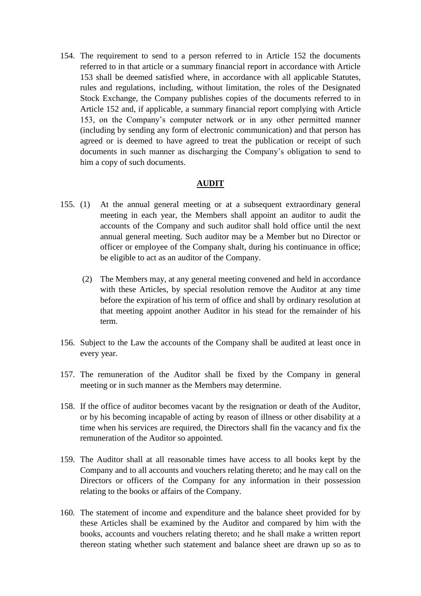154. The requirement to send to a person referred to in Article 152 the documents referred to in that article or a summary financial report in accordance with Article 153 shall be deemed satisfied where, in accordance with all applicable Statutes, rules and regulations, including, without limitation, the roles of the Designated Stock Exchange, the Company publishes copies of the documents referred to in Article 152 and, if applicable, a summary financial report complying with Article 153, on the Company's computer network or in any other permitted manner (including by sending any form of electronic communication) and that person has agreed or is deemed to have agreed to treat the publication or receipt of such documents in such manner as discharging the Company's obligation to send to him a copy of such documents.

#### **AUDIT**

- 155. (1) At the annual general meeting or at a subsequent extraordinary general meeting in each year, the Members shall appoint an auditor to audit the accounts of the Company and such auditor shall hold office until the next annual general meeting. Such auditor may be a Member but no Director or officer or employee of the Company shalt, during his continuance in office; be eligible to act as an auditor of the Company.
	- (2) The Members may, at any general meeting convened and held in accordance with these Articles, by special resolution remove the Auditor at any time before the expiration of his term of office and shall by ordinary resolution at that meeting appoint another Auditor in his stead for the remainder of his term.
- 156. Subject to the Law the accounts of the Company shall be audited at least once in every year.
- 157. The remuneration of the Auditor shall be fixed by the Company in general meeting or in such manner as the Members may determine.
- 158. If the office of auditor becomes vacant by the resignation or death of the Auditor, or by his becoming incapable of acting by reason of illness or other disability at a time when his services are required, the Directors shall fin the vacancy and fix the remuneration of the Auditor so appointed.
- 159. The Auditor shall at all reasonable times have access to all books kept by the Company and to all accounts and vouchers relating thereto; and he may call on the Directors or officers of the Company for any information in their possession relating to the books or affairs of the Company.
- 160. The statement of income and expenditure and the balance sheet provided for by these Articles shall be examined by the Auditor and compared by him with the books, accounts and vouchers relating thereto; and he shall make a written report thereon stating whether such statement and balance sheet are drawn up so as to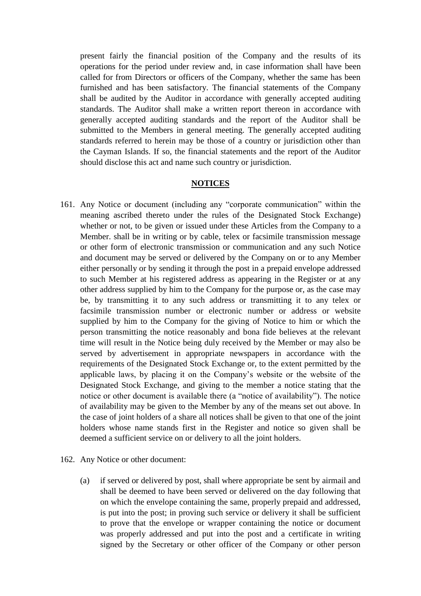present fairly the financial position of the Company and the results of its operations for the period under review and, in case information shall have been called for from Directors or officers of the Company, whether the same has been furnished and has been satisfactory. The financial statements of the Company shall be audited by the Auditor in accordance with generally accepted auditing standards. The Auditor shall make a written report thereon in accordance with generally accepted auditing standards and the report of the Auditor shall be submitted to the Members in general meeting. The generally accepted auditing standards referred to herein may be those of a country or jurisdiction other than the Cayman Islands. If so, the financial statements and the report of the Auditor should disclose this act and name such country or jurisdiction.

#### **NOTICES**

- 161. Any Notice or document (including any "corporate communication" within the meaning ascribed thereto under the rules of the Designated Stock Exchange) whether or not, to be given or issued under these Articles from the Company to a Member. shall be in writing or by cable, telex or facsimile transmission message or other form of electronic transmission or communication and any such Notice and document may be served or delivered by the Company on or to any Member either personally or by sending it through the post in a prepaid envelope addressed to such Member at his registered address as appearing in the Register or at any other address supplied by him to the Company for the purpose or, as the case may be, by transmitting it to any such address or transmitting it to any telex or facsimile transmission number or electronic number or address or website supplied by him to the Company for the giving of Notice to him or which the person transmitting the notice reasonably and bona fide believes at the relevant time will result in the Notice being duly received by the Member or may also be served by advertisement in appropriate newspapers in accordance with the requirements of the Designated Stock Exchange or, to the extent permitted by the applicable laws, by placing it on the Company's website or the website of the Designated Stock Exchange, and giving to the member a notice stating that the notice or other document is available there (a "notice of availability"). The notice of availability may be given to the Member by any of the means set out above. In the case of joint holders of a share all notices shall be given to that one of the joint holders whose name stands first in the Register and notice so given shall be deemed a sufficient service on or delivery to all the joint holders.
- 162. Any Notice or other document:
	- (a) if served or delivered by post, shall where appropriate be sent by airmail and shall be deemed to have been served or delivered on the day following that on which the envelope containing the same, properly prepaid and addressed, is put into the post; in proving such service or delivery it shall be sufficient to prove that the envelope or wrapper containing the notice or document was properly addressed and put into the post and a certificate in writing signed by the Secretary or other officer of the Company or other person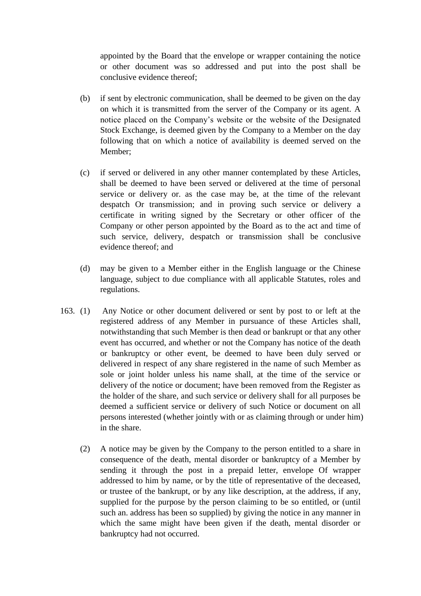appointed by the Board that the envelope or wrapper containing the notice or other document was so addressed and put into the post shall be conclusive evidence thereof;

- (b) if sent by electronic communication, shall be deemed to be given on the day on which it is transmitted from the server of the Company or its agent. A notice placed on the Company's website or the website of the Designated Stock Exchange, is deemed given by the Company to a Member on the day following that on which a notice of availability is deemed served on the Member;
- (c) if served or delivered in any other manner contemplated by these Articles, shall be deemed to have been served or delivered at the time of personal service or delivery or. as the case may be, at the time of the relevant despatch Or transmission; and in proving such service or delivery a certificate in writing signed by the Secretary or other officer of the Company or other person appointed by the Board as to the act and time of such service, delivery, despatch or transmission shall be conclusive evidence thereof; and
- (d) may be given to a Member either in the English language or the Chinese language, subject to due compliance with all applicable Statutes, roles and regulations.
- 163. (1) Any Notice or other document delivered or sent by post to or left at the registered address of any Member in pursuance of these Articles shall, notwithstanding that such Member is then dead or bankrupt or that any other event has occurred, and whether or not the Company has notice of the death or bankruptcy or other event, be deemed to have been duly served or delivered in respect of any share registered in the name of such Member as sole or joint holder unless his name shall, at the time of the service or delivery of the notice or document; have been removed from the Register as the holder of the share, and such service or delivery shall for all purposes be deemed a sufficient service or delivery of such Notice or document on all persons interested (whether jointly with or as claiming through or under him) in the share.
	- (2) A notice may be given by the Company to the person entitled to a share in consequence of the death, mental disorder or bankruptcy of a Member by sending it through the post in a prepaid letter, envelope Of wrapper addressed to him by name, or by the title of representative of the deceased, or trustee of the bankrupt, or by any like description, at the address, if any, supplied for the purpose by the person claiming to be so entitled, or (until such an. address has been so supplied) by giving the notice in any manner in which the same might have been given if the death, mental disorder or bankruptcy had not occurred.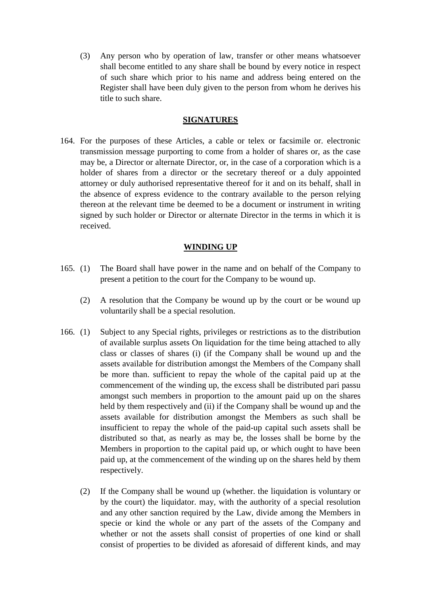(3) Any person who by operation of law, transfer or other means whatsoever shall become entitled to any share shall be bound by every notice in respect of such share which prior to his name and address being entered on the Register shall have been duly given to the person from whom he derives his title to such share.

### **SIGNATURES**

164. For the purposes of these Articles, a cable or telex or facsimile or. electronic transmission message purporting to come from a holder of shares or, as the case may be, a Director or alternate Director, or, in the case of a corporation which is a holder of shares from a director or the secretary thereof or a duly appointed attorney or duly authorised representative thereof for it and on its behalf, shall in the absence of express evidence to the contrary available to the person relying thereon at the relevant time be deemed to be a document or instrument in writing signed by such holder or Director or alternate Director in the terms in which it is received.

### **WINDING UP**

- 165. (1) The Board shall have power in the name and on behalf of the Company to present a petition to the court for the Company to be wound up.
	- (2) A resolution that the Company be wound up by the court or be wound up voluntarily shall be a special resolution.
- 166. (1) Subject to any Special rights, privileges or restrictions as to the distribution of available surplus assets On liquidation for the time being attached to ally class or classes of shares (i) (if the Company shall be wound up and the assets available for distribution amongst the Members of the Company shall be more than. sufficient to repay the whole of the capital paid up at the commencement of the winding up, the excess shall be distributed pari passu amongst such members in proportion to the amount paid up on the shares held by them respectively and (ii) if the Company shall be wound up and the assets available for distribution amongst the Members as such shall be insufficient to repay the whole of the paid-up capital such assets shall be distributed so that, as nearly as may be, the losses shall be borne by the Members in proportion to the capital paid up, or which ought to have been paid up, at the commencement of the winding up on the shares held by them respectively.
	- (2) If the Company shall be wound up (whether. the liquidation is voluntary or by the court) the liquidator. may, with the authority of a special resolution and any other sanction required by the Law, divide among the Members in specie or kind the whole or any part of the assets of the Company and whether or not the assets shall consist of properties of one kind or shall consist of properties to be divided as aforesaid of different kinds, and may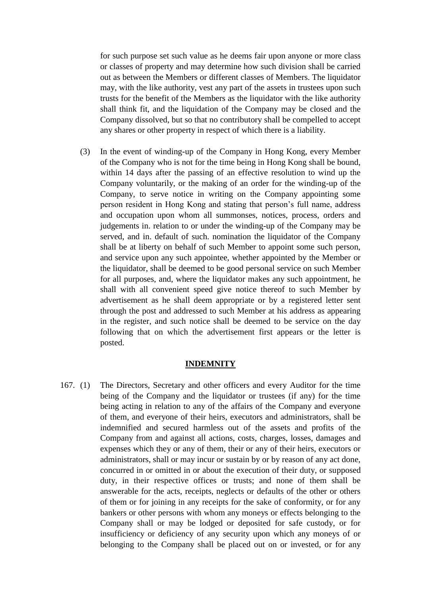for such purpose set such value as he deems fair upon anyone or more class or classes of property and may determine how such division shall be carried out as between the Members or different classes of Members. The liquidator may, with the like authority, vest any part of the assets in trustees upon such trusts for the benefit of the Members as the liquidator with the like authority shall think fit, and the liquidation of the Company may be closed and the Company dissolved, but so that no contributory shall be compelled to accept any shares or other property in respect of which there is a liability.

(3) In the event of winding-up of the Company in Hong Kong, every Member of the Company who is not for the time being in Hong Kong shall be bound, within 14 days after the passing of an effective resolution to wind up the Company voluntarily, or the making of an order for the winding-up of the Company, to serve notice in writing on the Company appointing some person resident in Hong Kong and stating that person's full name, address and occupation upon whom all summonses, notices, process, orders and judgements in. relation to or under the winding-up of the Company may be served, and in. default of such. nomination the liquidator of the Company shall be at liberty on behalf of such Member to appoint some such person, and service upon any such appointee, whether appointed by the Member or the liquidator, shall be deemed to be good personal service on such Member for all purposes, and, where the liquidator makes any such appointment, he shall with all convenient speed give notice thereof to such Member by advertisement as he shall deem appropriate or by a registered letter sent through the post and addressed to such Member at his address as appearing in the register, and such notice shall be deemed to be service on the day following that on which the advertisement first appears or the letter is posted.

#### **INDEMNITY**

167. (1) The Directors, Secretary and other officers and every Auditor for the time being of the Company and the liquidator or trustees (if any) for the time being acting in relation to any of the affairs of the Company and everyone of them, and everyone of their heirs, executors and administrators, shall be indemnified and secured harmless out of the assets and profits of the Company from and against all actions, costs, charges, losses, damages and expenses which they or any of them, their or any of their heirs, executors or administrators, shall or may incur or sustain by or by reason of any act done, concurred in or omitted in or about the execution of their duty, or supposed duty, in their respective offices or trusts; and none of them shall be answerable for the acts, receipts, neglects or defaults of the other or others of them or for joining in any receipts for the sake of conformity, or for any bankers or other persons with whom any moneys or effects belonging to the Company shall or may be lodged or deposited for safe custody, or for insufficiency or deficiency of any security upon which any moneys of or belonging to the Company shall be placed out on or invested, or for any